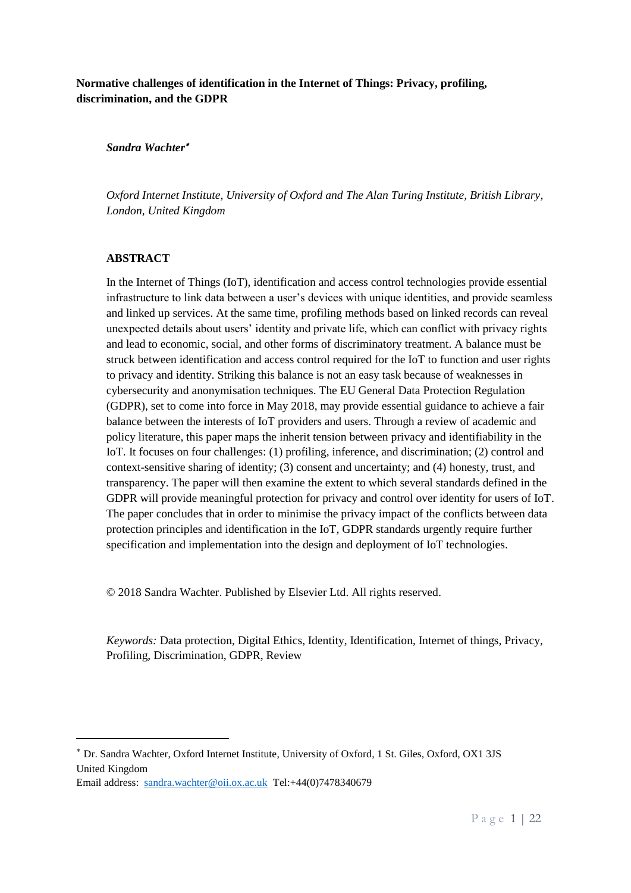## **Normative challenges of identification in the Internet of Things: Privacy, profiling, discrimination, and the GDPR**

#### *Sandra Wachter*

*Oxford Internet Institute, University of Oxford and The Alan Turing Institute, British Library, London, United Kingdom*

#### **ABSTRACT**

-

In the Internet of Things (IoT), identification and access control technologies provide essential infrastructure to link data between a user's devices with unique identities, and provide seamless and linked up services. At the same time, profiling methods based on linked records can reveal unexpected details about users' identity and private life, which can conflict with privacy rights and lead to economic, social, and other forms of discriminatory treatment. A balance must be struck between identification and access control required for the IoT to function and user rights to privacy and identity. Striking this balance is not an easy task because of weaknesses in cybersecurity and anonymisation techniques. The EU General Data Protection Regulation (GDPR), set to come into force in May 2018, may provide essential guidance to achieve a fair balance between the interests of IoT providers and users. Through a review of academic and policy literature, this paper maps the inherit tension between privacy and identifiability in the IoT. It focuses on four challenges: (1) profiling, inference, and discrimination; (2) control and context-sensitive sharing of identity; (3) consent and uncertainty; and (4) honesty, trust, and transparency. The paper will then examine the extent to which several standards defined in the GDPR will provide meaningful protection for privacy and control over identity for users of IoT. The paper concludes that in order to minimise the privacy impact of the conflicts between data protection principles and identification in the IoT, GDPR standards urgently require further specification and implementation into the design and deployment of IoT technologies.

© 2018 Sandra Wachter. Published by Elsevier Ltd. All rights reserved.

*Keywords:* Data protection, Digital Ethics, Identity, Identification, Internet of things, Privacy, Profiling, Discrimination, GDPR, Review

Dr. Sandra Wachter, Oxford Internet Institute, University of Oxford, 1 St. Giles, Oxford, OX1 3JS United Kingdom

Email address: [sandra.wachter@oii.ox.ac.uk](mailto:sandra.wachter@oii.ox.ac.uk) Tel:+44(0)7478340679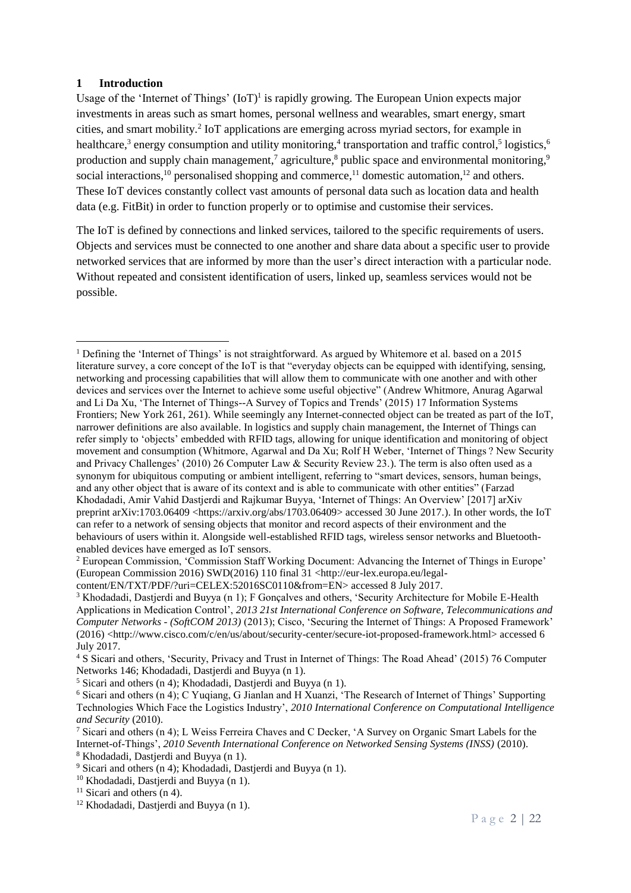### **1 Introduction**

Usage of the 'Internet of Things'  $(IoT)^1$  is rapidly growing. The European Union expects major investments in areas such as smart homes, personal wellness and wearables, smart energy, smart cities, and smart mobility.<sup>2</sup> IoT applications are emerging across myriad sectors, for example in healthcare,<sup>3</sup> energy consumption and utility monitoring,<sup>4</sup> transportation and traffic control,<sup>5</sup> logistics,<sup>6</sup> production and supply chain management,<sup>7</sup> agriculture,<sup>8</sup> public space and environmental monitoring,<sup>9</sup> social interactions,<sup>10</sup> personalised shopping and commerce,<sup>11</sup> domestic automation,<sup>12</sup> and others. These IoT devices constantly collect vast amounts of personal data such as location data and health data (e.g. FitBit) in order to function properly or to optimise and customise their services.

The IoT is defined by connections and linked services, tailored to the specific requirements of users. Objects and services must be connected to one another and share data about a specific user to provide networked services that are informed by more than the user's direct interaction with a particular node. Without repeated and consistent identification of users, linked up, seamless services would not be possible.

<sup>5</sup> Sicari and others (n 4); Khodadadi, Dastjerdi and Buyya (n 1).

<sup>&</sup>lt;u>.</u> <sup>1</sup> Defining the 'Internet of Things' is not straightforward. As argued by Whitemore et al. based on a 2015 literature survey, a core concept of the IoT is that "everyday objects can be equipped with identifying, sensing, networking and processing capabilities that will allow them to communicate with one another and with other devices and services over the Internet to achieve some useful objective" (Andrew Whitmore, Anurag Agarwal and Li Da Xu, 'The Internet of Things--A Survey of Topics and Trends' (2015) 17 Information Systems Frontiers; New York 261, 261). While seemingly any Internet-connected object can be treated as part of the IoT, narrower definitions are also available. In logistics and supply chain management, the Internet of Things can refer simply to 'objects' embedded with RFID tags, allowing for unique identification and monitoring of object movement and consumption (Whitmore, Agarwal and Da Xu; Rolf H Weber, 'Internet of Things ? New Security and Privacy Challenges' (2010) 26 Computer Law & Security Review 23.). The term is also often used as a synonym for ubiquitous computing or ambient intelligent, referring to "smart devices, sensors, human beings, and any other object that is aware of its context and is able to communicate with other entities" (Farzad Khodadadi, Amir Vahid Dastjerdi and Rajkumar Buyya, 'Internet of Things: An Overview' [2017] arXiv preprint arXiv:1703.06409 <https://arxiv.org/abs/1703.06409> accessed 30 June 2017.). In other words, the IoT can refer to a network of sensing objects that monitor and record aspects of their environment and the behaviours of users within it. Alongside well-established RFID tags, wireless sensor networks and Bluetoothenabled devices have emerged as IoT sensors.

<sup>2</sup> European Commission, 'Commission Staff Working Document: Advancing the Internet of Things in Europe' (European Commission 2016) SWD(2016) 110 final 31 <http://eur-lex.europa.eu/legal-

content/EN/TXT/PDF/?uri=CELEX:52016SC0110&from=EN> accessed 8 July 2017.

<sup>&</sup>lt;sup>3</sup> Khodadadi, Dastjerdi and Buyya (n 1); F Gonçalves and others, 'Security Architecture for Mobile E-Health Applications in Medication Control', *2013 21st International Conference on Software, Telecommunications and Computer Networks - (SoftCOM 2013)* (2013); Cisco, 'Securing the Internet of Things: A Proposed Framework' (2016) <http://www.cisco.com/c/en/us/about/security-center/secure-iot-proposed-framework.html> accessed 6 July 2017.

<sup>4</sup> S Sicari and others, 'Security, Privacy and Trust in Internet of Things: The Road Ahead' (2015) 76 Computer Networks 146; Khodadadi, Dastjerdi and Buyya (n 1).

<sup>6</sup> Sicari and others (n 4); C Yuqiang, G Jianlan and H Xuanzi, 'The Research of Internet of Things' Supporting Technologies Which Face the Logistics Industry', *2010 International Conference on Computational Intelligence and Security* (2010).

<sup>7</sup> Sicari and others (n 4); L Weiss Ferreira Chaves and C Decker, 'A Survey on Organic Smart Labels for the Internet-of-Things', *2010 Seventh International Conference on Networked Sensing Systems (INSS)* (2010).

<sup>8</sup> Khodadadi, Dastjerdi and Buyya (n 1).

<sup>9</sup> Sicari and others (n 4); Khodadadi, Dastjerdi and Buyya (n 1).

<sup>10</sup> Khodadadi, Dastjerdi and Buyya (n 1).

 $11$  Sicari and others (n 4).

<sup>12</sup> Khodadadi, Dastjerdi and Buyya (n 1).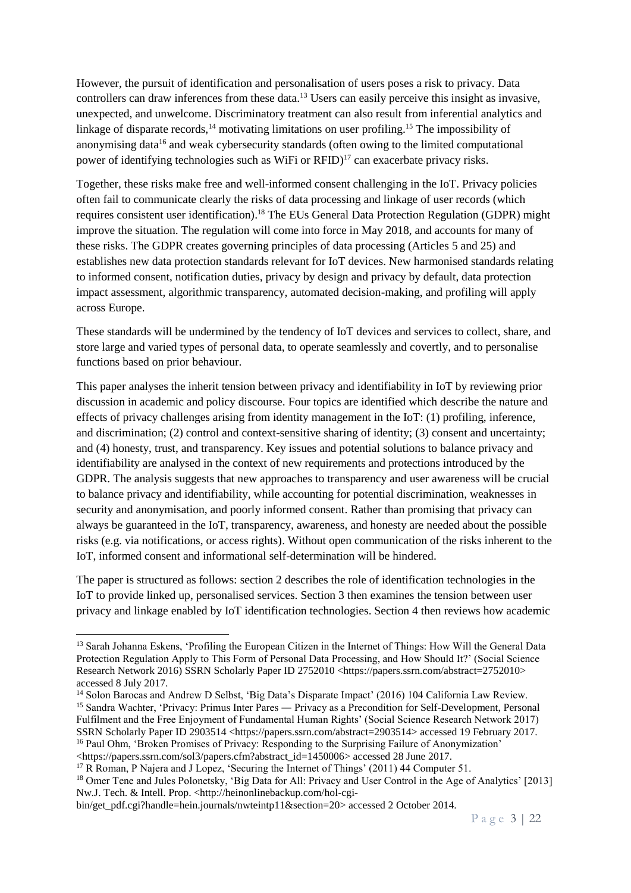However, the pursuit of identification and personalisation of users poses a risk to privacy. Data controllers can draw inferences from these data.<sup>13</sup> Users can easily perceive this insight as invasive, unexpected, and unwelcome. Discriminatory treatment can also result from inferential analytics and linkage of disparate records,<sup>14</sup> motivating limitations on user profiling.<sup>15</sup> The impossibility of anonymising data<sup>16</sup> and weak cybersecurity standards (often owing to the limited computational power of identifying technologies such as WiFi or RFID)<sup>17</sup> can exacerbate privacy risks.

Together, these risks make free and well-informed consent challenging in the IoT. Privacy policies often fail to communicate clearly the risks of data processing and linkage of user records (which requires consistent user identification). <sup>18</sup> The EUs General Data Protection Regulation (GDPR) might improve the situation. The regulation will come into force in May 2018, and accounts for many of these risks. The GDPR creates governing principles of data processing (Articles 5 and 25) and establishes new data protection standards relevant for IoT devices. New harmonised standards relating to informed consent, notification duties, privacy by design and privacy by default, data protection impact assessment, algorithmic transparency, automated decision-making, and profiling will apply across Europe.

These standards will be undermined by the tendency of IoT devices and services to collect, share, and store large and varied types of personal data, to operate seamlessly and covertly, and to personalise functions based on prior behaviour.

This paper analyses the inherit tension between privacy and identifiability in IoT by reviewing prior discussion in academic and policy discourse. Four topics are identified which describe the nature and effects of privacy challenges arising from identity management in the IoT: (1) profiling, inference, and discrimination; (2) control and context-sensitive sharing of identity; (3) consent and uncertainty; and (4) honesty, trust, and transparency. Key issues and potential solutions to balance privacy and identifiability are analysed in the context of new requirements and protections introduced by the GDPR. The analysis suggests that new approaches to transparency and user awareness will be crucial to balance privacy and identifiability, while accounting for potential discrimination, weaknesses in security and anonymisation, and poorly informed consent. Rather than promising that privacy can always be guaranteed in the IoT, transparency, awareness, and honesty are needed about the possible risks (e.g. via notifications, or access rights). Without open communication of the risks inherent to the IoT, informed consent and informational self-determination will be hindered.

The paper is structured as follows: section 2 describes the role of identification technologies in the IoT to provide linked up, personalised services. Section 3 then examines the tension between user privacy and linkage enabled by IoT identification technologies. Section 4 then reviews how academic

<https://papers.ssrn.com/sol3/papers.cfm?abstract\_id=1450006> accessed 28 June 2017.

<sup>&</sup>lt;sup>13</sup> Sarah Johanna Eskens, 'Profiling the European Citizen in the Internet of Things: How Will the General Data Protection Regulation Apply to This Form of Personal Data Processing, and How Should It?' (Social Science Research Network 2016) SSRN Scholarly Paper ID 2752010 <https://papers.ssrn.com/abstract=2752010> accessed 8 July 2017.

<sup>&</sup>lt;sup>14</sup> Solon Barocas and Andrew D Selbst, 'Big Data's Disparate Impact' (2016) 104 California Law Review. <sup>15</sup> Sandra Wachter, 'Privacy: Primus Inter Pares ― Privacy as a Precondition for Self-Development, Personal Fulfilment and the Free Enjoyment of Fundamental Human Rights' (Social Science Research Network 2017) SSRN Scholarly Paper ID 2903514 <https://papers.ssrn.com/abstract=2903514> accessed 19 February 2017. <sup>16</sup> Paul Ohm, 'Broken Promises of Privacy: Responding to the Surprising Failure of Anonymization'

<sup>&</sup>lt;sup>17</sup> R Roman, P Najera and J Lopez, 'Securing the Internet of Things' (2011) 44 Computer 51.

<sup>&</sup>lt;sup>18</sup> Omer Tene and Jules Polonetsky, 'Big Data for All: Privacy and User Control in the Age of Analytics' [2013] Nw.J. Tech. & Intell. Prop. <http://heinonlinebackup.com/hol-cgi-

bin/get\_pdf.cgi?handle=hein.journals/nwteintp11&section=20> accessed 2 October 2014.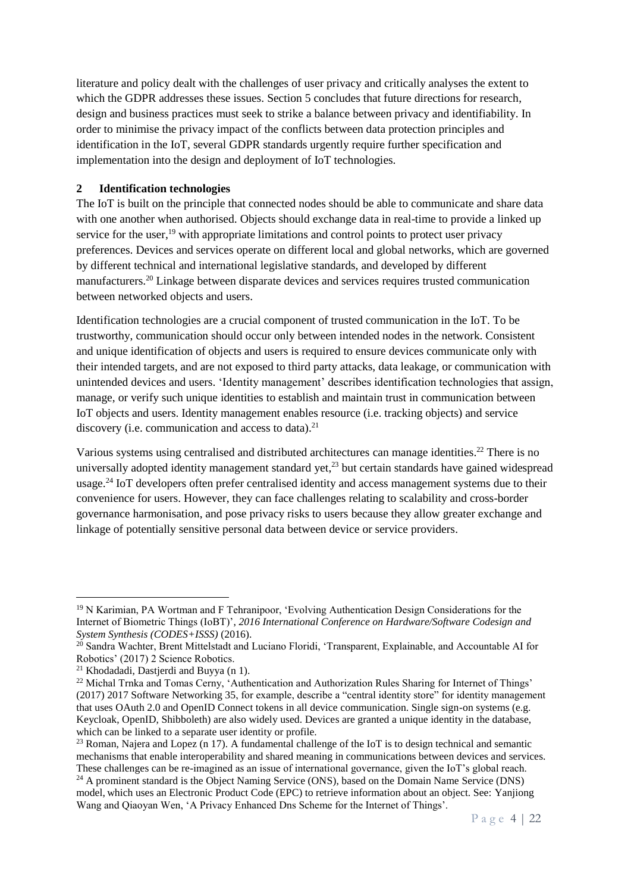literature and policy dealt with the challenges of user privacy and critically analyses the extent to which the GDPR addresses these issues. Section 5 concludes that future directions for research, design and business practices must seek to strike a balance between privacy and identifiability. In order to minimise the privacy impact of the conflicts between data protection principles and identification in the IoT, several GDPR standards urgently require further specification and implementation into the design and deployment of IoT technologies.

## **2 Identification technologies**

The IoT is built on the principle that connected nodes should be able to communicate and share data with one another when authorised. Objects should exchange data in real-time to provide a linked up service for the user,<sup>19</sup> with appropriate limitations and control points to protect user privacy preferences. Devices and services operate on different local and global networks, which are governed by different technical and international legislative standards, and developed by different manufacturers.<sup>20</sup> Linkage between disparate devices and services requires trusted communication between networked objects and users.

Identification technologies are a crucial component of trusted communication in the IoT. To be trustworthy, communication should occur only between intended nodes in the network. Consistent and unique identification of objects and users is required to ensure devices communicate only with their intended targets, and are not exposed to third party attacks, data leakage, or communication with unintended devices and users. 'Identity management' describes identification technologies that assign, manage, or verify such unique identities to establish and maintain trust in communication between IoT objects and users. Identity management enables resource (i.e. tracking objects) and service discovery (i.e. communication and access to data).<sup>21</sup>

Various systems using centralised and distributed architectures can manage identities. <sup>22</sup> There is no universally adopted identity management standard yet,<sup>23</sup> but certain standards have gained widespread usage.<sup>24</sup> IoT developers often prefer centralised identity and access management systems due to their convenience for users. However, they can face challenges relating to scalability and cross-border governance harmonisation, and pose privacy risks to users because they allow greater exchange and linkage of potentially sensitive personal data between device or service providers.

<sup>19</sup> N Karimian, PA Wortman and F Tehranipoor, 'Evolving Authentication Design Considerations for the Internet of Biometric Things (IoBT)', *2016 International Conference on Hardware/Software Codesign and System Synthesis (CODES+ISSS)* (2016).

<sup>&</sup>lt;sup>20</sup> Sandra Wachter, Brent Mittelstadt and Luciano Floridi, 'Transparent, Explainable, and Accountable AI for Robotics' (2017) 2 Science Robotics.

<sup>21</sup> Khodadadi, Dastjerdi and Buyya (n 1).

<sup>&</sup>lt;sup>22</sup> Michal Trnka and Tomas Cerny, 'Authentication and Authorization Rules Sharing for Internet of Things' (2017) 2017 Software Networking 35, for example, describe a "central identity store" for identity management that uses OAuth 2.0 and OpenID Connect tokens in all device communication. Single sign-on systems (e.g. Keycloak, OpenID, Shibboleth) are also widely used. Devices are granted a unique identity in the database, which can be linked to a separate user identity or profile.

<sup>&</sup>lt;sup>23</sup> Roman, Najera and Lopez (n 17). A fundamental challenge of the IoT is to design technical and semantic mechanisms that enable interoperability and shared meaning in communications between devices and services. These challenges can be re-imagined as an issue of international governance, given the IoT's global reach.

<sup>&</sup>lt;sup>24</sup> A prominent standard is the Object Naming Service (ONS), based on the Domain Name Service (DNS) model, which uses an Electronic Product Code (EPC) to retrieve information about an object. See: Yanjiong Wang and Qiaoyan Wen, 'A Privacy Enhanced Dns Scheme for the Internet of Things'.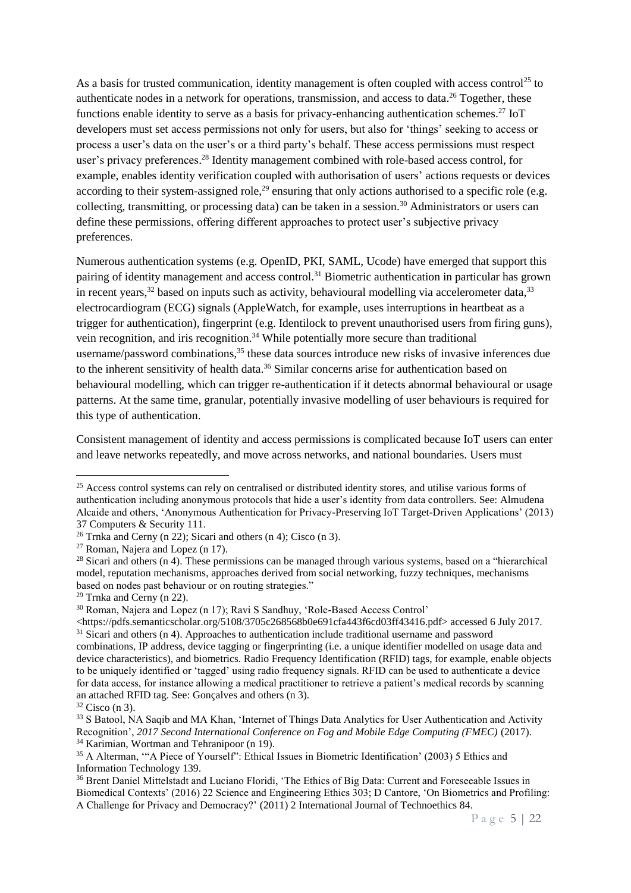As a basis for trusted communication, identity management is often coupled with access control<sup>25</sup> to authenticate nodes in a network for operations, transmission, and access to data. <sup>26</sup> Together, these functions enable identity to serve as a basis for privacy-enhancing authentication schemes.<sup>27</sup> IoT developers must set access permissions not only for users, but also for 'things' seeking to access or process a user's data on the user's or a third party's behalf. These access permissions must respect user's privacy preferences.<sup>28</sup> Identity management combined with role-based access control, for example, enables identity verification coupled with authorisation of users' actions requests or devices according to their system-assigned role, $^{29}$  ensuring that only actions authorised to a specific role (e.g. collecting, transmitting, or processing data) can be taken in a session.<sup>30</sup> Administrators or users can define these permissions, offering different approaches to protect user's subjective privacy preferences.

Numerous authentication systems (e.g. OpenID, PKI, SAML, Ucode) have emerged that support this pairing of identity management and access control.<sup>31</sup> Biometric authentication in particular has grown in recent years,<sup>32</sup> based on inputs such as activity, behavioural modelling via accelerometer data,  $33$ electrocardiogram (ECG) signals (AppleWatch, for example, uses interruptions in heartbeat as a trigger for authentication), fingerprint (e.g. Identilock to prevent unauthorised users from firing guns), vein recognition, and iris recognition. <sup>34</sup> While potentially more secure than traditional username/password combinations,<sup>35</sup> these data sources introduce new risks of invasive inferences due to the inherent sensitivity of health data.<sup>36</sup> Similar concerns arise for authentication based on behavioural modelling, which can trigger re-authentication if it detects abnormal behavioural or usage patterns. At the same time, granular, potentially invasive modelling of user behaviours is required for this type of authentication.

Consistent management of identity and access permissions is complicated because IoT users can enter and leave networks repeatedly, and move across networks, and national boundaries. Users must

<sup>&</sup>lt;sup>25</sup> Access control systems can rely on centralised or distributed identity stores, and utilise various forms of authentication including anonymous protocols that hide a user's identity from data controllers. See: Almudena Alcaide and others, 'Anonymous Authentication for Privacy-Preserving IoT Target-Driven Applications' (2013) 37 Computers & Security 111.

 $26$  Trnka and Cerny (n 22); Sicari and others (n 4); Cisco (n 3).

<sup>27</sup> Roman, Najera and Lopez (n 17).

<sup>&</sup>lt;sup>28</sup> Sicari and others (n 4). These permissions can be managed through various systems, based on a "hierarchical model, reputation mechanisms, approaches derived from social networking, fuzzy techniques, mechanisms based on nodes past behaviour or on routing strategies."

<sup>29</sup> Trnka and Cerny (n 22).

<sup>30</sup> Roman, Najera and Lopez (n 17); Ravi S Sandhuy, 'Role-Based Access Control'

<sup>&</sup>lt;https://pdfs.semanticscholar.org/5108/3705c268568b0e691cfa443f6cd03ff43416.pdf> accessed 6 July 2017.  $31$  Sicari and others (n 4). Approaches to authentication include traditional username and password combinations, IP address, device tagging or fingerprinting (i.e. a unique identifier modelled on usage data and device characteristics), and biometrics. Radio Frequency Identification (RFID) tags, for example, enable objects to be uniquely identified or 'tagged' using radio frequency signals. RFID can be used to authenticate a device for data access, for instance allowing a medical practitioner to retrieve a patient's medical records by scanning an attached RFID tag. See: Gonçalves and others (n 3).

 $32$  Cisco (n 3).

<sup>&</sup>lt;sup>33</sup> S Batool, NA Saqib and MA Khan, 'Internet of Things Data Analytics for User Authentication and Activity Recognition', *2017 Second International Conference on Fog and Mobile Edge Computing (FMEC)* (2017). <sup>34</sup> Karimian, Wortman and Tehranipoor (n 19).

<sup>35</sup> A Alterman, '"A Piece of Yourself": Ethical Issues in Biometric Identification' (2003) 5 Ethics and Information Technology 139.

<sup>&</sup>lt;sup>36</sup> Brent Daniel Mittelstadt and Luciano Floridi, 'The Ethics of Big Data: Current and Foreseeable Issues in Biomedical Contexts' (2016) 22 Science and Engineering Ethics 303; D Cantore, 'On Biometrics and Profiling: A Challenge for Privacy and Democracy?' (2011) 2 International Journal of Technoethics 84.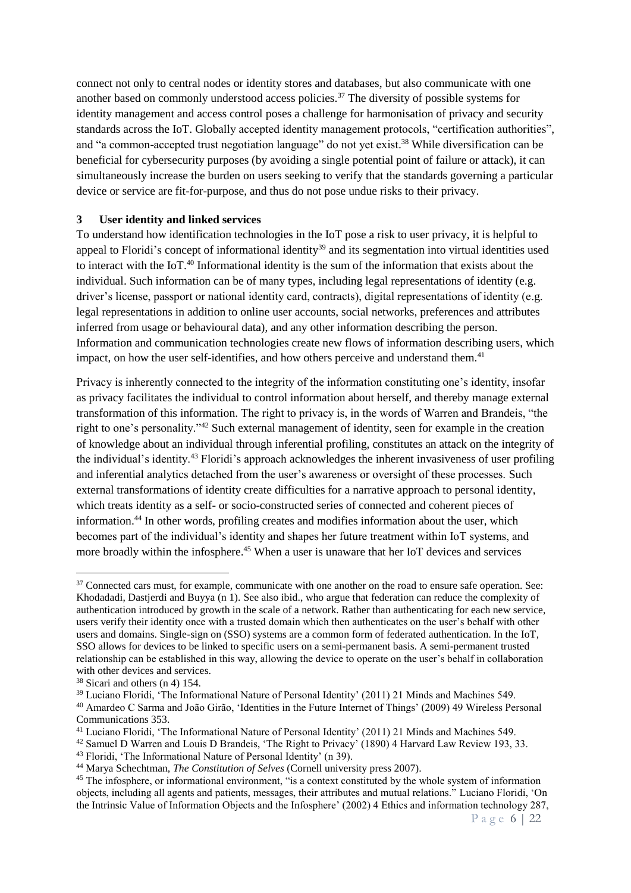connect not only to central nodes or identity stores and databases, but also communicate with one another based on commonly understood access policies.<sup>37</sup> The diversity of possible systems for identity management and access control poses a challenge for harmonisation of privacy and security standards across the IoT. Globally accepted identity management protocols, "certification authorities", and "a common-accepted trust negotiation language" do not yet exist. <sup>38</sup> While diversification can be beneficial for cybersecurity purposes (by avoiding a single potential point of failure or attack), it can simultaneously increase the burden on users seeking to verify that the standards governing a particular device or service are fit-for-purpose, and thus do not pose undue risks to their privacy.

### **3 User identity and linked services**

To understand how identification technologies in the IoT pose a risk to user privacy, it is helpful to appeal to Floridi's concept of informational identity<sup>39</sup> and its segmentation into virtual identities used to interact with the IoT. <sup>40</sup> Informational identity is the sum of the information that exists about the individual. Such information can be of many types, including legal representations of identity (e.g. driver's license, passport or national identity card, contracts), digital representations of identity (e.g. legal representations in addition to online user accounts, social networks, preferences and attributes inferred from usage or behavioural data), and any other information describing the person. Information and communication technologies create new flows of information describing users, which impact, on how the user self-identifies, and how others perceive and understand them.<sup>41</sup>

Privacy is inherently connected to the integrity of the information constituting one's identity, insofar as privacy facilitates the individual to control information about herself, and thereby manage external transformation of this information. The right to privacy is, in the words of Warren and Brandeis, "the right to one's personality."<sup>42</sup> Such external management of identity, seen for example in the creation of knowledge about an individual through inferential profiling, constitutes an attack on the integrity of the individual's identity.<sup>43</sup> Floridi's approach acknowledges the inherent invasiveness of user profiling and inferential analytics detached from the user's awareness or oversight of these processes. Such external transformations of identity create difficulties for a narrative approach to personal identity, which treats identity as a self- or socio-constructed series of connected and coherent pieces of information. <sup>44</sup> In other words, profiling creates and modifies information about the user, which becomes part of the individual's identity and shapes her future treatment within IoT systems, and more broadly within the infosphere.<sup>45</sup> When a user is unaware that her IoT devices and services

<sup>&</sup>lt;sup>37</sup> Connected cars must, for example, communicate with one another on the road to ensure safe operation. See: Khodadadi, Dastjerdi and Buyya (n 1). See also ibid., who argue that federation can reduce the complexity of authentication introduced by growth in the scale of a network. Rather than authenticating for each new service, users verify their identity once with a trusted domain which then authenticates on the user's behalf with other users and domains. Single-sign on (SSO) systems are a common form of federated authentication. In the IoT, SSO allows for devices to be linked to specific users on a semi-permanent basis. A semi-permanent trusted relationship can be established in this way, allowing the device to operate on the user's behalf in collaboration with other devices and services.

<sup>38</sup> Sicari and others (n 4) 154.

<sup>&</sup>lt;sup>39</sup> Luciano Floridi, 'The Informational Nature of Personal Identity' (2011) 21 Minds and Machines 549.

<sup>40</sup> Amardeo C Sarma and João Girão, 'Identities in the Future Internet of Things' (2009) 49 Wireless Personal Communications 353.

<sup>41</sup> Luciano Floridi, 'The Informational Nature of Personal Identity' (2011) 21 Minds and Machines 549.

<sup>&</sup>lt;sup>42</sup> Samuel D Warren and Louis D Brandeis, 'The Right to Privacy' (1890) 4 Harvard Law Review 193, 33.

<sup>43</sup> Floridi, 'The Informational Nature of Personal Identity' (n 39).

<sup>44</sup> Marya Schechtman, *The Constitution of Selves* (Cornell university press 2007).

<sup>&</sup>lt;sup>45</sup> The infosphere, or informational environment, "is a context constituted by the whole system of information objects, including all agents and patients, messages, their attributes and mutual relations." Luciano Floridi, 'On the Intrinsic Value of Information Objects and the Infosphere' (2002) 4 Ethics and information technology 287,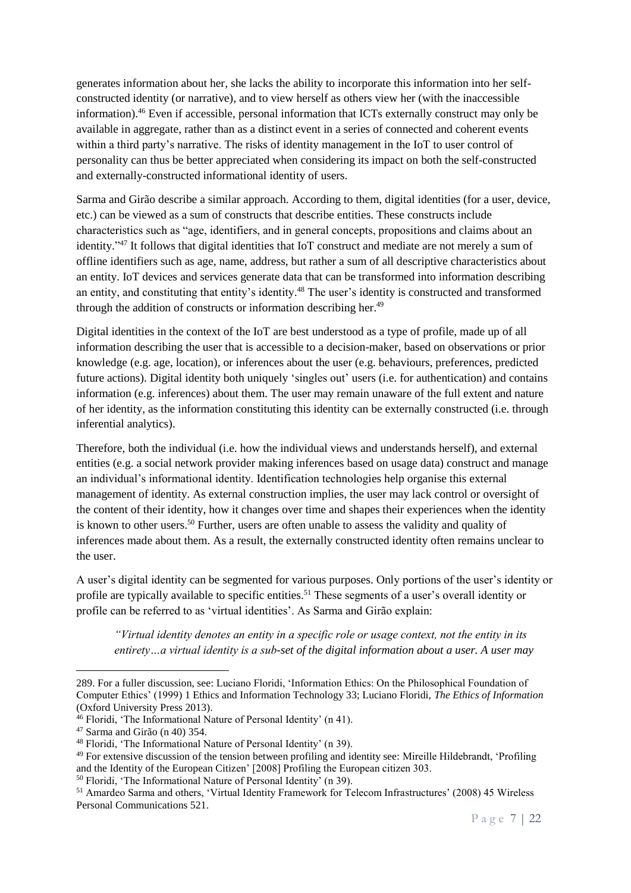generates information about her, she lacks the ability to incorporate this information into her selfconstructed identity (or narrative), and to view herself as others view her (with the inaccessible information).<sup>46</sup> Even if accessible, personal information that ICTs externally construct may only be available in aggregate, rather than as a distinct event in a series of connected and coherent events within a third party's narrative. The risks of identity management in the IoT to user control of personality can thus be better appreciated when considering its impact on both the self-constructed and externally-constructed informational identity of users.

Sarma and Girão describe a similar approach. According to them, digital identities (for a user, device, etc.) can be viewed as a sum of constructs that describe entities. These constructs include characteristics such as "age, identifiers, and in general concepts, propositions and claims about an identity."<sup>47</sup> It follows that digital identities that IoT construct and mediate are not merely a sum of offline identifiers such as age, name, address, but rather a sum of all descriptive characteristics about an entity. IoT devices and services generate data that can be transformed into information describing an entity, and constituting that entity's identity.<sup>48</sup> The user's identity is constructed and transformed through the addition of constructs or information describing her.<sup>49</sup>

Digital identities in the context of the IoT are best understood as a type of profile, made up of all information describing the user that is accessible to a decision-maker, based on observations or prior knowledge (e.g. age, location), or inferences about the user (e.g. behaviours, preferences, predicted future actions). Digital identity both uniquely 'singles out' users (i.e. for authentication) and contains information (e.g. inferences) about them. The user may remain unaware of the full extent and nature of her identity, as the information constituting this identity can be externally constructed (i.e. through inferential analytics).

Therefore, both the individual (i.e. how the individual views and understands herself), and external entities (e.g. a social network provider making inferences based on usage data) construct and manage an individual's informational identity. Identification technologies help organise this external management of identity. As external construction implies, the user may lack control or oversight of the content of their identity, how it changes over time and shapes their experiences when the identity is known to other users.<sup>50</sup> Further, users are often unable to assess the validity and quality of inferences made about them. As a result, the externally constructed identity often remains unclear to the user.

A user's digital identity can be segmented for various purposes. Only portions of the user's identity or profile are typically available to specific entities.<sup>51</sup> These segments of a user's overall identity or profile can be referred to as 'virtual identities'. As Sarma and Girão explain:

*"Virtual identity denotes an entity in a specific role or usage context, not the entity in its entirety…a virtual identity is a sub-set of the digital information about a user. A user may* 

<sup>289.</sup> For a fuller discussion, see: Luciano Floridi, 'Information Ethics: On the Philosophical Foundation of Computer Ethics' (1999) 1 Ethics and Information Technology 33; Luciano Floridi, *The Ethics of Information* (Oxford University Press 2013).

<sup>46</sup> Floridi, 'The Informational Nature of Personal Identity' (n 41).

<sup>47</sup> Sarma and Girão (n 40) 354.

<sup>48</sup> Floridi, 'The Informational Nature of Personal Identity' (n 39).

<sup>49</sup> For extensive discussion of the tension between profiling and identity see: Mireille Hildebrandt, 'Profiling and the Identity of the European Citizen' [2008] Profiling the European citizen 303.

<sup>50</sup> Floridi, 'The Informational Nature of Personal Identity' (n 39).

<sup>51</sup> Amardeo Sarma and others, 'Virtual Identity Framework for Telecom Infrastructures' (2008) 45 Wireless Personal Communications 521.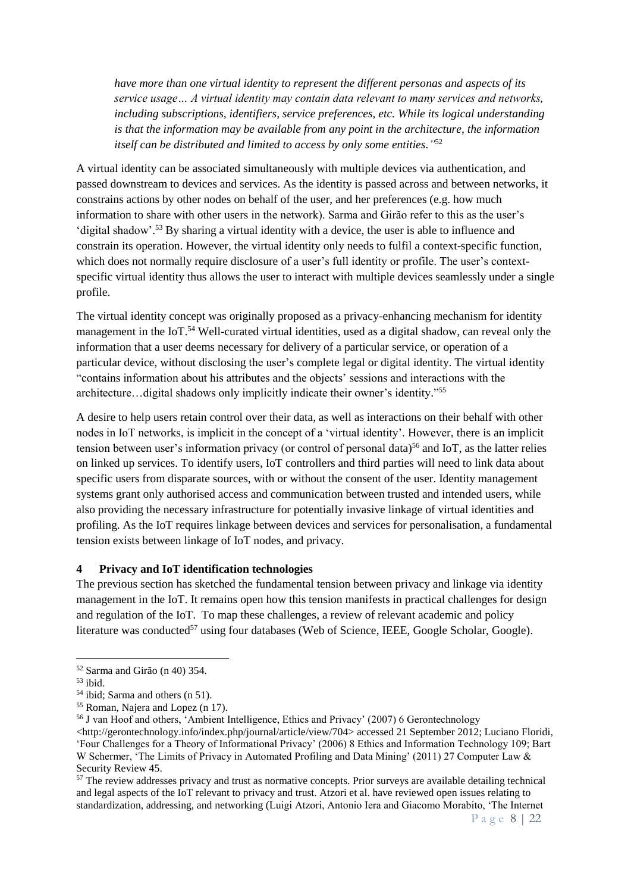*have more than one virtual identity to represent the different personas and aspects of its service usage… A virtual identity may contain data relevant to many services and networks, including subscriptions, identifiers, service preferences, etc. While its logical understanding is that the information may be available from any point in the architecture, the information itself can be distributed and limited to access by only some entities."* 52

A virtual identity can be associated simultaneously with multiple devices via authentication, and passed downstream to devices and services. As the identity is passed across and between networks, it constrains actions by other nodes on behalf of the user, and her preferences (e.g. how much information to share with other users in the network). Sarma and Girão refer to this as the user's 'digital shadow'. <sup>53</sup> By sharing a virtual identity with a device, the user is able to influence and constrain its operation. However, the virtual identity only needs to fulfil a context-specific function, which does not normally require disclosure of a user's full identity or profile. The user's contextspecific virtual identity thus allows the user to interact with multiple devices seamlessly under a single profile.

The virtual identity concept was originally proposed as a privacy-enhancing mechanism for identity management in the IoT.<sup>54</sup> Well-curated virtual identities, used as a digital shadow, can reveal only the information that a user deems necessary for delivery of a particular service, or operation of a particular device, without disclosing the user's complete legal or digital identity. The virtual identity "contains information about his attributes and the objects' sessions and interactions with the architecture…digital shadows only implicitly indicate their owner's identity." 55

A desire to help users retain control over their data, as well as interactions on their behalf with other nodes in IoT networks, is implicit in the concept of a 'virtual identity'. However, there is an implicit tension between user's information privacy (or control of personal data)<sup>56</sup> and IoT, as the latter relies on linked up services. To identify users, IoT controllers and third parties will need to link data about specific users from disparate sources, with or without the consent of the user. Identity management systems grant only authorised access and communication between trusted and intended users, while also providing the necessary infrastructure for potentially invasive linkage of virtual identities and profiling. As the IoT requires linkage between devices and services for personalisation, a fundamental tension exists between linkage of IoT nodes, and privacy.

### **4 Privacy and IoT identification technologies**

The previous section has sketched the fundamental tension between privacy and linkage via identity management in the IoT. It remains open how this tension manifests in practical challenges for design and regulation of the IoT. To map these challenges, a review of relevant academic and policy literature was conducted<sup>57</sup> using four databases (Web of Science, IEEE, Google Scholar, Google).

-

 $57$  The review addresses privacy and trust as normative concepts. Prior surveys are available detailing technical and legal aspects of the IoT relevant to privacy and trust. Atzori et al. have reviewed open issues relating to standardization, addressing, and networking (Luigi Atzori, Antonio Iera and Giacomo Morabito, 'The Internet

<sup>52</sup> Sarma and Girão (n 40) 354.

 $53$  ibid.

<sup>54</sup> ibid; Sarma and others (n 51).

<sup>55</sup> Roman, Najera and Lopez (n 17).

<sup>&</sup>lt;sup>56</sup> J van Hoof and others, 'Ambient Intelligence, Ethics and Privacy' (2007) 6 Gerontechnology  $\langle$ http://gerontechnology.info/index.php/journal/article/view/704> accessed 21 September 2012; Luciano Floridi, 'Four Challenges for a Theory of Informational Privacy' (2006) 8 Ethics and Information Technology 109; Bart W Schermer, 'The Limits of Privacy in Automated Profiling and Data Mining' (2011) 27 Computer Law & Security Review 45.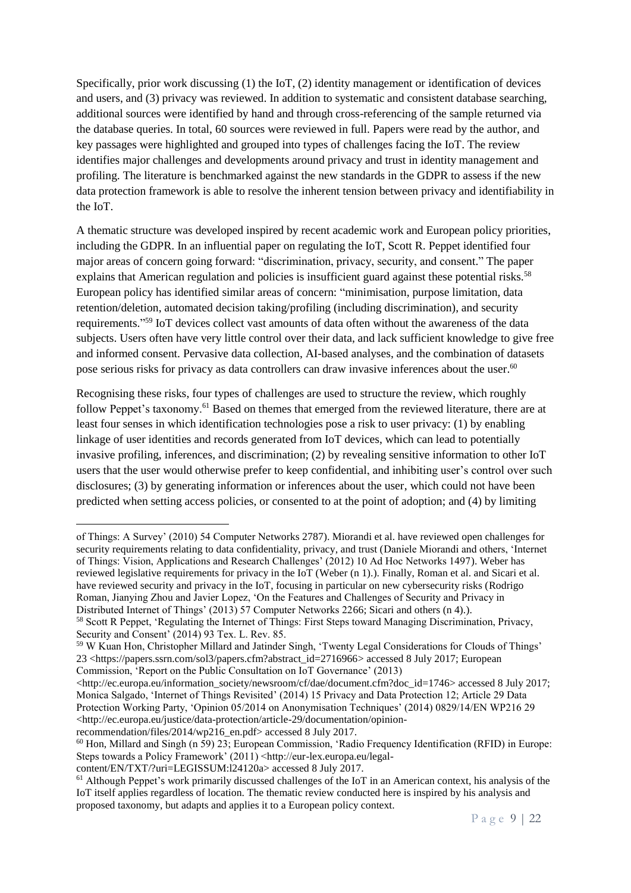Specifically, prior work discussing (1) the IoT, (2) identity management or identification of devices and users, and (3) privacy was reviewed. In addition to systematic and consistent database searching, additional sources were identified by hand and through cross-referencing of the sample returned via the database queries. In total, 60 sources were reviewed in full. Papers were read by the author, and key passages were highlighted and grouped into types of challenges facing the IoT. The review identifies major challenges and developments around privacy and trust in identity management and profiling. The literature is benchmarked against the new standards in the GDPR to assess if the new data protection framework is able to resolve the inherent tension between privacy and identifiability in the IoT.

A thematic structure was developed inspired by recent academic work and European policy priorities, including the GDPR. In an influential paper on regulating the IoT, Scott R. Peppet identified four major areas of concern going forward: "discrimination, privacy, security, and consent." The paper explains that American regulation and policies is insufficient guard against these potential risks.<sup>58</sup> European policy has identified similar areas of concern: "minimisation, purpose limitation, data retention/deletion, automated decision taking/profiling (including discrimination), and security requirements." <sup>59</sup> IoT devices collect vast amounts of data often without the awareness of the data subjects. Users often have very little control over their data, and lack sufficient knowledge to give free and informed consent. Pervasive data collection, AI-based analyses, and the combination of datasets pose serious risks for privacy as data controllers can draw invasive inferences about the user.<sup>60</sup>

Recognising these risks, four types of challenges are used to structure the review, which roughly follow Peppet's taxonomy.<sup>61</sup> Based on themes that emerged from the reviewed literature, there are at least four senses in which identification technologies pose a risk to user privacy: (1) by enabling linkage of user identities and records generated from IoT devices, which can lead to potentially invasive profiling, inferences, and discrimination; (2) by revealing sensitive information to other IoT users that the user would otherwise prefer to keep confidential, and inhibiting user's control over such disclosures; (3) by generating information or inferences about the user, which could not have been predicted when setting access policies, or consented to at the point of adoption; and (4) by limiting

of Things: A Survey' (2010) 54 Computer Networks 2787). Miorandi et al. have reviewed open challenges for security requirements relating to data confidentiality, privacy, and trust (Daniele Miorandi and others, 'Internet of Things: Vision, Applications and Research Challenges' (2012) 10 Ad Hoc Networks 1497). Weber has reviewed legislative requirements for privacy in the IoT (Weber (n 1).). Finally, Roman et al. and Sicari et al. have reviewed security and privacy in the IoT, focusing in particular on new cybersecurity risks (Rodrigo Roman, Jianying Zhou and Javier Lopez, 'On the Features and Challenges of Security and Privacy in Distributed Internet of Things' (2013) 57 Computer Networks 2266; Sicari and others (n 4).).

<sup>58</sup> Scott R Peppet, 'Regulating the Internet of Things: First Steps toward Managing Discrimination, Privacy, Security and Consent' (2014) 93 Tex. L. Rev. 85.

<sup>59</sup> W Kuan Hon, Christopher Millard and Jatinder Singh, 'Twenty Legal Considerations for Clouds of Things' 23 <https://papers.ssrn.com/sol3/papers.cfm?abstract\_id=2716966> accessed 8 July 2017; European Commission, 'Report on the Public Consultation on IoT Governance' (2013)

 $\langle$ http://ec.europa.eu/information\_society/newsroom/cf/dae/document.cfm?doc\_id=1746> accessed 8 July 2017; Monica Salgado, 'Internet of Things Revisited' (2014) 15 Privacy and Data Protection 12; Article 29 Data Protection Working Party, 'Opinion 05/2014 on Anonymisation Techniques' (2014) 0829/14/EN WP216 29 <http://ec.europa.eu/justice/data-protection/article-29/documentation/opinionrecommendation/files/2014/wp216\_en.pdf> accessed 8 July 2017.

 $60$  Hon, Millard and Singh (n 59) 23; European Commission, 'Radio Frequency Identification (RFID) in Europe: Steps towards a Policy Framework' (2011) <http://eur-lex.europa.eu/legal-

content/EN/TXT/?uri=LEGISSUM:l24120a> accessed 8 July 2017.

<sup>61</sup> Although Peppet's work primarily discussed challenges of the IoT in an American context, his analysis of the IoT itself applies regardless of location. The thematic review conducted here is inspired by his analysis and proposed taxonomy, but adapts and applies it to a European policy context.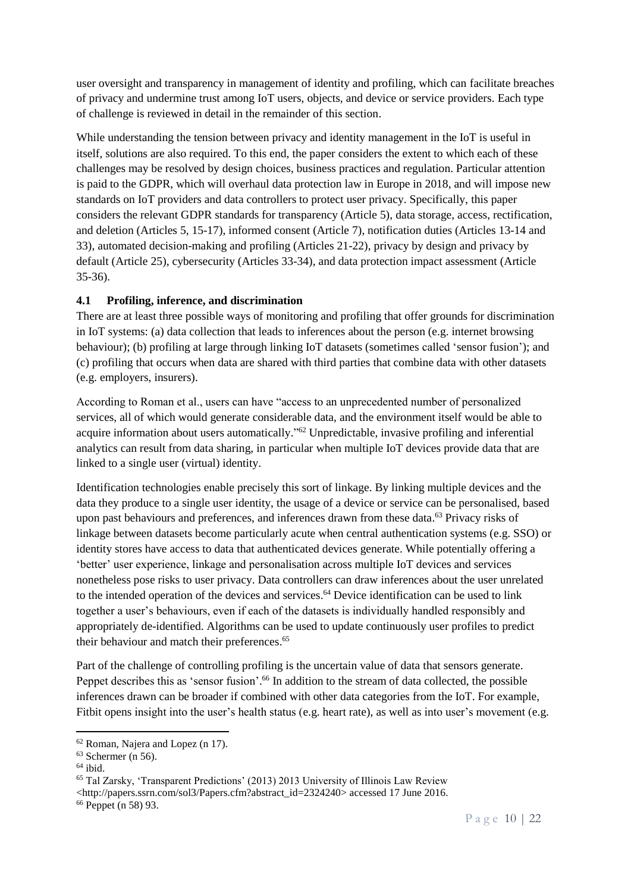user oversight and transparency in management of identity and profiling, which can facilitate breaches of privacy and undermine trust among IoT users, objects, and device or service providers. Each type of challenge is reviewed in detail in the remainder of this section.

While understanding the tension between privacy and identity management in the IoT is useful in itself, solutions are also required. To this end, the paper considers the extent to which each of these challenges may be resolved by design choices, business practices and regulation. Particular attention is paid to the GDPR, which will overhaul data protection law in Europe in 2018, and will impose new standards on IoT providers and data controllers to protect user privacy. Specifically, this paper considers the relevant GDPR standards for transparency (Article 5), data storage, access, rectification, and deletion (Articles 5, 15-17), informed consent (Article 7), notification duties (Articles 13-14 and 33), automated decision-making and profiling (Articles 21-22), privacy by design and privacy by default (Article 25), cybersecurity (Articles 33-34), and data protection impact assessment (Article 35-36).

## **4.1 Profiling, inference, and discrimination**

There are at least three possible ways of monitoring and profiling that offer grounds for discrimination in IoT systems: (a) data collection that leads to inferences about the person (e.g. internet browsing behaviour); (b) profiling at large through linking IoT datasets (sometimes called 'sensor fusion'); and (c) profiling that occurs when data are shared with third parties that combine data with other datasets (e.g. employers, insurers).

According to Roman et al., users can have "access to an unprecedented number of personalized services, all of which would generate considerable data, and the environment itself would be able to acquire information about users automatically."<sup>62</sup> Unpredictable, invasive profiling and inferential analytics can result from data sharing, in particular when multiple IoT devices provide data that are linked to a single user (virtual) identity.

Identification technologies enable precisely this sort of linkage. By linking multiple devices and the data they produce to a single user identity, the usage of a device or service can be personalised, based upon past behaviours and preferences, and inferences drawn from these data.<sup>63</sup> Privacy risks of linkage between datasets become particularly acute when central authentication systems (e.g. SSO) or identity stores have access to data that authenticated devices generate. While potentially offering a 'better' user experience, linkage and personalisation across multiple IoT devices and services nonetheless pose risks to user privacy. Data controllers can draw inferences about the user unrelated to the intended operation of the devices and services. <sup>64</sup> Device identification can be used to link together a user's behaviours, even if each of the datasets is individually handled responsibly and appropriately de-identified. Algorithms can be used to update continuously user profiles to predict their behaviour and match their preferences. 65

Part of the challenge of controlling profiling is the uncertain value of data that sensors generate. Peppet describes this as 'sensor fusion'.<sup>66</sup> In addition to the stream of data collected, the possible inferences drawn can be broader if combined with other data categories from the IoT. For example, Fitbit opens insight into the user's health status (e.g. heart rate), as well as into user's movement (e.g.

<sup>62</sup> Roman, Najera and Lopez (n 17).

 $63$  Schermer (n 56).

 $64$  ibid.

<sup>65</sup> Tal Zarsky, 'Transparent Predictions' (2013) 2013 University of Illinois Law Review

<sup>&</sup>lt;http://papers.ssrn.com/sol3/Papers.cfm?abstract\_id=2324240> accessed 17 June 2016.

<sup>66</sup> Peppet (n 58) 93.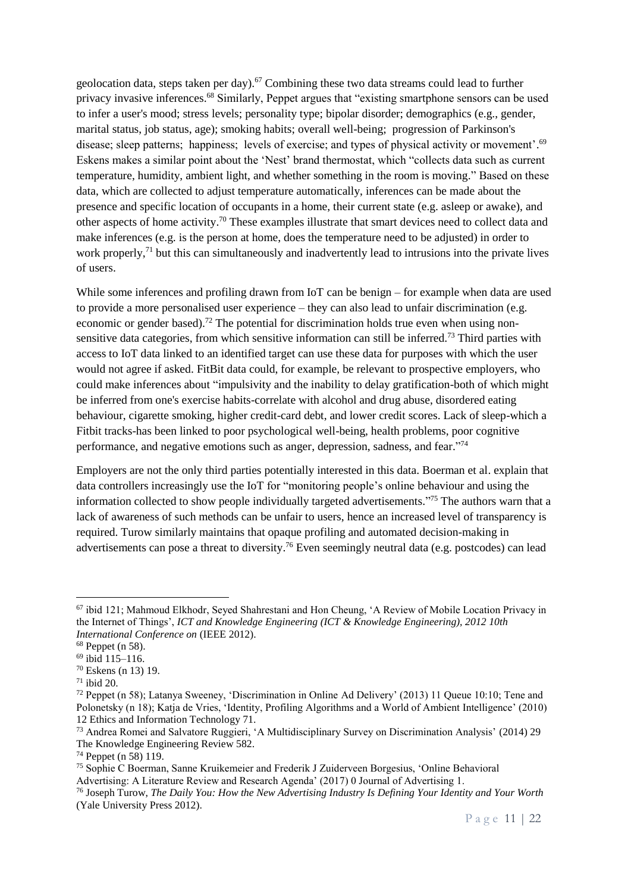geolocation data, steps taken per day). <sup>67</sup> Combining these two data streams could lead to further privacy invasive inferences. <sup>68</sup> Similarly, Peppet argues that "existing smartphone sensors can be used to infer a user's mood; stress levels; personality type; bipolar disorder; demographics (e.g., gender, marital status, job status, age); smoking habits; overall well-being; progression of Parkinson's disease; sleep patterns; happiness; levels of exercise; and types of physical activity or movement'.<sup>69</sup> Eskens makes a similar point about the 'Nest' brand thermostat, which "collects data such as current temperature, humidity, ambient light, and whether something in the room is moving." Based on these data, which are collected to adjust temperature automatically, inferences can be made about the presence and specific location of occupants in a home, their current state (e.g. asleep or awake), and other aspects of home activity.<sup>70</sup> These examples illustrate that smart devices need to collect data and make inferences (e.g. is the person at home, does the temperature need to be adjusted) in order to work properly,<sup>71</sup> but this can simultaneously and inadvertently lead to intrusions into the private lives of users.

While some inferences and profiling drawn from IoT can be benign – for example when data are used to provide a more personalised user experience – they can also lead to unfair discrimination (e.g. economic or gender based).<sup>72</sup> The potential for discrimination holds true even when using nonsensitive data categories, from which sensitive information can still be inferred.<sup>73</sup> Third parties with access to IoT data linked to an identified target can use these data for purposes with which the user would not agree if asked. FitBit data could, for example, be relevant to prospective employers, who could make inferences about "impulsivity and the inability to delay gratification-both of which might be inferred from one's exercise habits-correlate with alcohol and drug abuse, disordered eating behaviour, cigarette smoking, higher credit-card debt, and lower credit scores. Lack of sleep-which a Fitbit tracks-has been linked to poor psychological well-being, health problems, poor cognitive performance, and negative emotions such as anger, depression, sadness, and fear." 74

Employers are not the only third parties potentially interested in this data. Boerman et al. explain that data controllers increasingly use the IoT for "monitoring people's online behaviour and using the information collected to show people individually targeted advertisements." <sup>75</sup> The authors warn that a lack of awareness of such methods can be unfair to users, hence an increased level of transparency is required. Turow similarly maintains that opaque profiling and automated decision-making in advertisements can pose a threat to diversity.<sup>76</sup> Even seemingly neutral data (e.g. postcodes) can lead

<sup>67</sup> ibid 121; Mahmoud Elkhodr, Seyed Shahrestani and Hon Cheung, 'A Review of Mobile Location Privacy in the Internet of Things', *ICT and Knowledge Engineering (ICT & Knowledge Engineering), 2012 10th International Conference on* (IEEE 2012).

 $68$  Peppet (n 58).

 $69$  ibid  $115-116$ .

<sup>70</sup> Eskens (n 13) 19.

<sup>71</sup> ibid 20.

<sup>72</sup> Peppet (n 58); Latanya Sweeney, 'Discrimination in Online Ad Delivery' (2013) 11 Queue 10:10; Tene and Polonetsky (n 18); Katja de Vries, 'Identity, Profiling Algorithms and a World of Ambient Intelligence' (2010) 12 Ethics and Information Technology 71.

<sup>73</sup> Andrea Romei and Salvatore Ruggieri, 'A Multidisciplinary Survey on Discrimination Analysis' (2014) 29 The Knowledge Engineering Review 582.

<sup>74</sup> Peppet (n 58) 119.

<sup>75</sup> Sophie C Boerman, Sanne Kruikemeier and Frederik J Zuiderveen Borgesius, 'Online Behavioral Advertising: A Literature Review and Research Agenda' (2017) 0 Journal of Advertising 1.

<sup>76</sup> Joseph Turow, *The Daily You: How the New Advertising Industry Is Defining Your Identity and Your Worth* (Yale University Press 2012).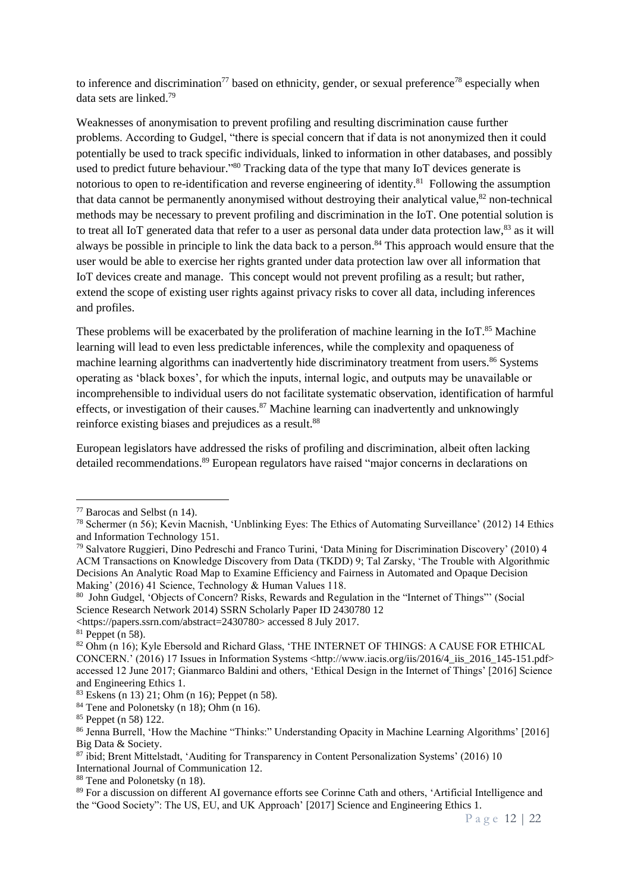to inference and discrimination<sup>77</sup> based on ethnicity, gender, or sexual preference<sup>78</sup> especially when data sets are linked. 79

Weaknesses of anonymisation to prevent profiling and resulting discrimination cause further problems. According to Gudgel, "there is special concern that if data is not anonymized then it could potentially be used to track specific individuals, linked to information in other databases, and possibly used to predict future behaviour."<sup>80</sup> Tracking data of the type that many IoT devices generate is notorious to open to re-identification and reverse engineering of identity.<sup>81</sup> Following the assumption that data cannot be permanently anonymised without destroying their analytical value,<sup>82</sup> non-technical methods may be necessary to prevent profiling and discrimination in the IoT. One potential solution is to treat all IoT generated data that refer to a user as personal data under data protection law,<sup>83</sup> as it will always be possible in principle to link the data back to a person. <sup>84</sup> This approach would ensure that the user would be able to exercise her rights granted under data protection law over all information that IoT devices create and manage. This concept would not prevent profiling as a result; but rather, extend the scope of existing user rights against privacy risks to cover all data, including inferences and profiles.

These problems will be exacerbated by the proliferation of machine learning in the IoT.<sup>85</sup> Machine learning will lead to even less predictable inferences, while the complexity and opaqueness of machine learning algorithms can inadvertently hide discriminatory treatment from users.<sup>86</sup> Systems operating as 'black boxes', for which the inputs, internal logic, and outputs may be unavailable or incomprehensible to individual users do not facilitate systematic observation, identification of harmful effects, or investigation of their causes.<sup>87</sup> Machine learning can inadvertently and unknowingly reinforce existing biases and prejudices as a result.<sup>88</sup>

European legislators have addressed the risks of profiling and discrimination, albeit often lacking detailed recommendations.<sup>89</sup> European regulators have raised "major concerns in declarations on

<https://papers.ssrn.com/abstract=2430780> accessed 8 July 2017.

<sup>77</sup> Barocas and Selbst (n 14).

<sup>78</sup> Schermer (n 56); Kevin Macnish, 'Unblinking Eyes: The Ethics of Automating Surveillance' (2012) 14 Ethics and Information Technology 151.

<sup>79</sup> Salvatore Ruggieri, Dino Pedreschi and Franco Turini, 'Data Mining for Discrimination Discovery' (2010) 4 ACM Transactions on Knowledge Discovery from Data (TKDD) 9; Tal Zarsky, 'The Trouble with Algorithmic Decisions An Analytic Road Map to Examine Efficiency and Fairness in Automated and Opaque Decision Making' (2016) 41 Science, Technology & Human Values 118.

<sup>80</sup> John Gudgel, 'Objects of Concern? Risks, Rewards and Regulation in the "Internet of Things"' (Social Science Research Network 2014) SSRN Scholarly Paper ID 2430780 12

 $81$  Peppet (n 58).

<sup>&</sup>lt;sup>82</sup> Ohm (n 16); Kyle Ebersold and Richard Glass, 'THE INTERNET OF THINGS: A CAUSE FOR ETHICAL CONCERN.<sup>2</sup> (2016) 17 Issues in Information Systems  $\frac{\text{Shtm}}{\text{Shtm}}$   $\frac{\text{Shtm}}{\text{Shtm}}$  is/2016/4 iis 2016 145-151.pdf> accessed 12 June 2017; Gianmarco Baldini and others, 'Ethical Design in the Internet of Things' [2016] Science and Engineering Ethics 1.

<sup>83</sup> Eskens (n 13) 21; Ohm (n 16); Peppet (n 58).

 $84$  Tene and Polonetsky (n 18); Ohm (n 16).

<sup>85</sup> Peppet (n 58) 122.

<sup>&</sup>lt;sup>86</sup> Jenna Burrell, 'How the Machine "Thinks:" Understanding Opacity in Machine Learning Algorithms' [2016] Big Data & Society.

<sup>&</sup>lt;sup>87</sup> ibid; Brent Mittelstadt, 'Auditing for Transparency in Content Personalization Systems' (2016) 10 International Journal of Communication 12.

<sup>88</sup> Tene and Polonetsky (n 18).

<sup>&</sup>lt;sup>89</sup> For a discussion on different AI governance efforts see Corinne Cath and others, 'Artificial Intelligence and the "Good Society": The US, EU, and UK Approach' [2017] Science and Engineering Ethics 1.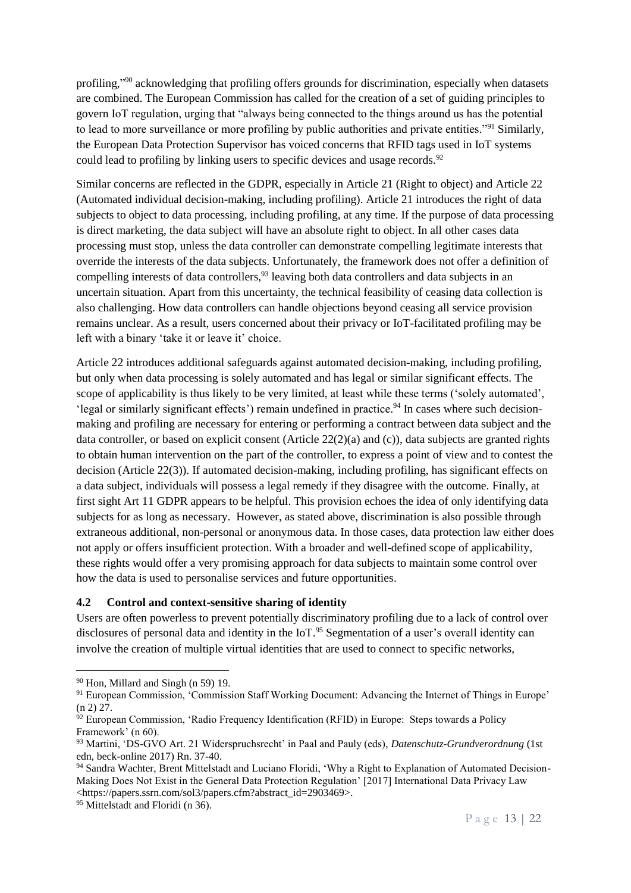profiling,"<sup>90</sup> acknowledging that profiling offers grounds for discrimination, especially when datasets are combined. The European Commission has called for the creation of a set of guiding principles to govern IoT regulation, urging that "always being connected to the things around us has the potential to lead to more surveillance or more profiling by public authorities and private entities."<sup>91</sup> Similarly, the European Data Protection Supervisor has voiced concerns that RFID tags used in IoT systems could lead to profiling by linking users to specific devices and usage records.<sup>92</sup>

Similar concerns are reflected in the GDPR, especially in Article 21 (Right to object) and Article 22 (Automated individual decision-making, including profiling). Article 21 introduces the right of data subjects to object to data processing, including profiling, at any time. If the purpose of data processing is direct marketing, the data subject will have an absolute right to object. In all other cases data processing must stop, unless the data controller can demonstrate compelling legitimate interests that override the interests of the data subjects. Unfortunately, the framework does not offer a definition of compelling interests of data controllers,<sup>93</sup> leaving both data controllers and data subjects in an uncertain situation. Apart from this uncertainty, the technical feasibility of ceasing data collection is also challenging. How data controllers can handle objections beyond ceasing all service provision remains unclear. As a result, users concerned about their privacy or IoT-facilitated profiling may be left with a binary 'take it or leave it' choice.

Article 22 introduces additional safeguards against automated decision-making, including profiling, but only when data processing is solely automated and has legal or similar significant effects. The scope of applicability is thus likely to be very limited, at least while these terms ('solely automated', 'legal or similarly significant effects') remain undefined in practice.<sup>94</sup> In cases where such decisionmaking and profiling are necessary for entering or performing a contract between data subject and the data controller, or based on explicit consent (Article 22(2)(a) and (c)), data subjects are granted rights to obtain human intervention on the part of the controller, to express a point of view and to contest the decision (Article 22(3)). If automated decision-making, including profiling, has significant effects on a data subject, individuals will possess a legal remedy if they disagree with the outcome. Finally, at first sight Art 11 GDPR appears to be helpful. This provision echoes the idea of only identifying data subjects for as long as necessary. However, as stated above, discrimination is also possible through extraneous additional, non-personal or anonymous data. In those cases, data protection law either does not apply or offers insufficient protection. With a broader and well-defined scope of applicability, these rights would offer a very promising approach for data subjects to maintain some control over how the data is used to personalise services and future opportunities.

## **4.2 Control and context-sensitive sharing of identity**

Users are often powerless to prevent potentially discriminatory profiling due to a lack of control over disclosures of personal data and identity in the IoT. <sup>95</sup> Segmentation of a user's overall identity can involve the creation of multiple virtual identities that are used to connect to specific networks,

<sup>&</sup>lt;sup>90</sup> Hon, Millard and Singh (n 59) 19.

<sup>&</sup>lt;sup>91</sup> European Commission, 'Commission Staff Working Document: Advancing the Internet of Things in Europe'  $(n 2) 27.$ 

 $92$  European Commission, 'Radio Frequency Identification (RFID) in Europe: Steps towards a Policy Framework' (n 60).

<sup>93</sup> Martini, 'DS-GVO Art. 21 Widerspruchsrecht' in Paal and Pauly (eds), *Datenschutz-Grundverordnung* (1st edn, beck-online 2017) Rn. 37-40.

<sup>94</sup> Sandra Wachter, Brent Mittelstadt and Luciano Floridi, 'Why a Right to Explanation of Automated Decision-Making Does Not Exist in the General Data Protection Regulation' [2017] International Data Privacy Law <https://papers.ssrn.com/sol3/papers.cfm?abstract\_id=2903469>.

<sup>&</sup>lt;sup>95</sup> Mittelstadt and Floridi (n 36).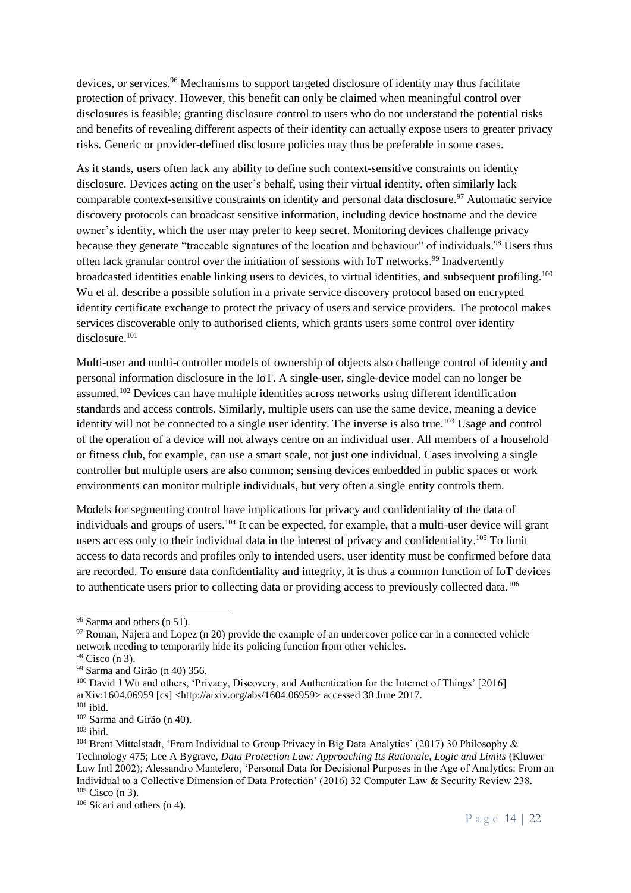devices, or services. <sup>96</sup> Mechanisms to support targeted disclosure of identity may thus facilitate protection of privacy. However, this benefit can only be claimed when meaningful control over disclosures is feasible; granting disclosure control to users who do not understand the potential risks and benefits of revealing different aspects of their identity can actually expose users to greater privacy risks. Generic or provider-defined disclosure policies may thus be preferable in some cases.

As it stands, users often lack any ability to define such context-sensitive constraints on identity disclosure. Devices acting on the user's behalf, using their virtual identity, often similarly lack comparable context-sensitive constraints on identity and personal data disclosure.<sup>97</sup> Automatic service discovery protocols can broadcast sensitive information, including device hostname and the device owner's identity, which the user may prefer to keep secret. Monitoring devices challenge privacy because they generate "traceable signatures of the location and behaviour" of individuals.<sup>98</sup> Users thus often lack granular control over the initiation of sessions with IoT networks.<sup>99</sup> Inadvertently broadcasted identities enable linking users to devices, to virtual identities, and subsequent profiling.<sup>100</sup> Wu et al. describe a possible solution in a private service discovery protocol based on encrypted identity certificate exchange to protect the privacy of users and service providers. The protocol makes services discoverable only to authorised clients, which grants users some control over identity disclosure. 101

Multi-user and multi-controller models of ownership of objects also challenge control of identity and personal information disclosure in the IoT. A single-user, single-device model can no longer be assumed.<sup>102</sup> Devices can have multiple identities across networks using different identification standards and access controls. Similarly, multiple users can use the same device, meaning a device identity will not be connected to a single user identity. The inverse is also true.<sup>103</sup> Usage and control of the operation of a device will not always centre on an individual user. All members of a household or fitness club, for example, can use a smart scale, not just one individual. Cases involving a single controller but multiple users are also common; sensing devices embedded in public spaces or work environments can monitor multiple individuals, but very often a single entity controls them.

Models for segmenting control have implications for privacy and confidentiality of the data of individuals and groups of users.<sup>104</sup> It can be expected, for example, that a multi-user device will grant users access only to their individual data in the interest of privacy and confidentiality.<sup>105</sup> To limit access to data records and profiles only to intended users, user identity must be confirmed before data are recorded. To ensure data confidentiality and integrity, it is thus a common function of IoT devices to authenticate users prior to collecting data or providing access to previously collected data.<sup>106</sup>

<sup>&</sup>lt;sup>96</sup> Sarma and others (n 51).

 $97$  Roman, Najera and Lopez (n 20) provide the example of an undercover police car in a connected vehicle network needing to temporarily hide its policing function from other vehicles.

 $98$  Cisco (n 3).

<sup>99</sup> Sarma and Girão (n 40) 356.

<sup>100</sup> David J Wu and others, 'Privacy, Discovery, and Authentication for the Internet of Things' [2016] arXiv:1604.06959 [cs] <http://arxiv.org/abs/1604.06959> accessed 30 June 2017.

 $101$  ibid.

<sup>102</sup> Sarma and Girão (n 40).

 $103$  ibid.

<sup>&</sup>lt;sup>104</sup> Brent Mittelstadt, 'From Individual to Group Privacy in Big Data Analytics' (2017) 30 Philosophy & Technology 475; Lee A Bygrave, *Data Protection Law: Approaching Its Rationale, Logic and Limits* (Kluwer Law Intl 2002); Alessandro Mantelero, 'Personal Data for Decisional Purposes in the Age of Analytics: From an Individual to a Collective Dimension of Data Protection' (2016) 32 Computer Law & Security Review 238.  $105$  Cisco (n 3).

 $106$  Sicari and others (n 4).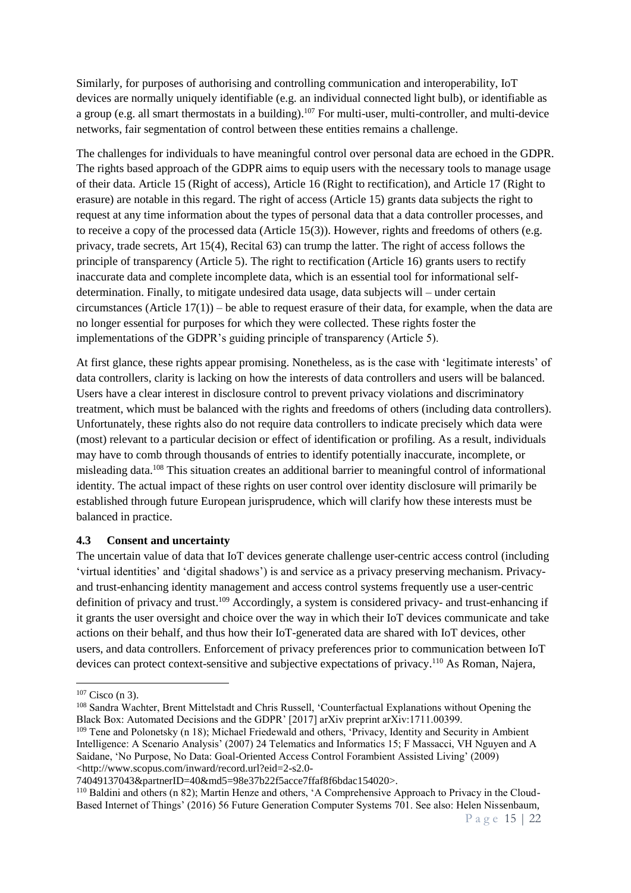Similarly, for purposes of authorising and controlling communication and interoperability, IoT devices are normally uniquely identifiable (e.g. an individual connected light bulb), or identifiable as a group (e.g. all smart thermostats in a building).<sup>107</sup> For multi-user, multi-controller, and multi-device networks, fair segmentation of control between these entities remains a challenge.

The challenges for individuals to have meaningful control over personal data are echoed in the GDPR. The rights based approach of the GDPR aims to equip users with the necessary tools to manage usage of their data. Article 15 (Right of access), Article 16 (Right to rectification), and Article 17 (Right to erasure) are notable in this regard. The right of access (Article 15) grants data subjects the right to request at any time information about the types of personal data that a data controller processes, and to receive a copy of the processed data (Article 15(3)). However, rights and freedoms of others (e.g. privacy, trade secrets, Art 15(4), Recital 63) can trump the latter. The right of access follows the principle of transparency (Article 5). The right to rectification (Article 16) grants users to rectify inaccurate data and complete incomplete data, which is an essential tool for informational selfdetermination. Finally, to mitigate undesired data usage, data subjects will – under certain circumstances (Article  $17(1)$ ) – be able to request erasure of their data, for example, when the data are no longer essential for purposes for which they were collected. These rights foster the implementations of the GDPR's guiding principle of transparency (Article 5).

At first glance, these rights appear promising. Nonetheless, as is the case with 'legitimate interests' of data controllers, clarity is lacking on how the interests of data controllers and users will be balanced. Users have a clear interest in disclosure control to prevent privacy violations and discriminatory treatment, which must be balanced with the rights and freedoms of others (including data controllers). Unfortunately, these rights also do not require data controllers to indicate precisely which data were (most) relevant to a particular decision or effect of identification or profiling. As a result, individuals may have to comb through thousands of entries to identify potentially inaccurate, incomplete, or misleading data.<sup>108</sup> This situation creates an additional barrier to meaningful control of informational identity. The actual impact of these rights on user control over identity disclosure will primarily be established through future European jurisprudence, which will clarify how these interests must be balanced in practice.

### **4.3 Consent and uncertainty**

The uncertain value of data that IoT devices generate challenge user-centric access control (including 'virtual identities' and 'digital shadows') is and service as a privacy preserving mechanism. Privacyand trust-enhancing identity management and access control systems frequently use a user-centric definition of privacy and trust.<sup>109</sup> Accordingly, a system is considered privacy- and trust-enhancing if it grants the user oversight and choice over the way in which their IoT devices communicate and take actions on their behalf, and thus how their IoT-generated data are shared with IoT devices, other users, and data controllers. Enforcement of privacy preferences prior to communication between IoT devices can protect context-sensitive and subjective expectations of privacy.<sup>110</sup> As Roman, Najera,

 $107$  Cisco (n 3).

<sup>108</sup> Sandra Wachter, Brent Mittelstadt and Chris Russell, 'Counterfactual Explanations without Opening the Black Box: Automated Decisions and the GDPR' [2017] arXiv preprint arXiv:1711.00399.

<sup>&</sup>lt;sup>109</sup> Tene and Polonetsky (n 18); Michael Friedewald and others, 'Privacy, Identity and Security in Ambient Intelligence: A Scenario Analysis' (2007) 24 Telematics and Informatics 15; F Massacci, VH Nguyen and A Saidane, 'No Purpose, No Data: Goal-Oriented Access Control Forambient Assisted Living' (2009) <http://www.scopus.com/inward/record.url?eid=2-s2.0-

<sup>74049137043&</sup>amp;partnerID=40&md5=98e37b22f5acce7ffaf8f6bdac154020>.

<sup>110</sup> Baldini and others (n 82); Martin Henze and others, 'A Comprehensive Approach to Privacy in the Cloud-Based Internet of Things' (2016) 56 Future Generation Computer Systems 701. See also: Helen Nissenbaum,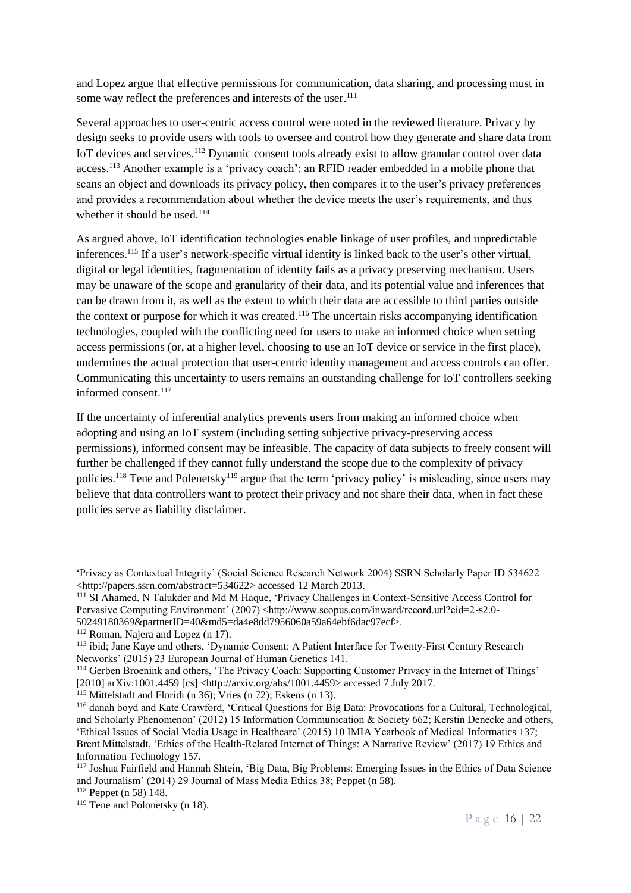and Lopez argue that effective permissions for communication, data sharing, and processing must in some way reflect the preferences and interests of the user. 111

Several approaches to user-centric access control were noted in the reviewed literature. Privacy by design seeks to provide users with tools to oversee and control how they generate and share data from IoT devices and services.<sup>112</sup> Dynamic consent tools already exist to allow granular control over data access.<sup>113</sup> Another example is a 'privacy coach': an RFID reader embedded in a mobile phone that scans an object and downloads its privacy policy, then compares it to the user's privacy preferences and provides a recommendation about whether the device meets the user's requirements, and thus whether it should be used.<sup>114</sup>

As argued above, IoT identification technologies enable linkage of user profiles, and unpredictable inferences. <sup>115</sup> If a user's network-specific virtual identity is linked back to the user's other virtual, digital or legal identities, fragmentation of identity fails as a privacy preserving mechanism. Users may be unaware of the scope and granularity of their data, and its potential value and inferences that can be drawn from it, as well as the extent to which their data are accessible to third parties outside the context or purpose for which it was created.<sup>116</sup> The uncertain risks accompanying identification technologies, coupled with the conflicting need for users to make an informed choice when setting access permissions (or, at a higher level, choosing to use an IoT device or service in the first place), undermines the actual protection that user-centric identity management and access controls can offer. Communicating this uncertainty to users remains an outstanding challenge for IoT controllers seeking informed consent. 117

If the uncertainty of inferential analytics prevents users from making an informed choice when adopting and using an IoT system (including setting subjective privacy-preserving access permissions), informed consent may be infeasible. The capacity of data subjects to freely consent will further be challenged if they cannot fully understand the scope due to the complexity of privacy policies.<sup>118</sup> Tene and Polenetsky<sup>119</sup> argue that the term 'privacy policy' is misleading, since users may believe that data controllers want to protect their privacy and not share their data, when in fact these policies serve as liability disclaimer.

<sup>&#</sup>x27;Privacy as Contextual Integrity' (Social Science Research Network 2004) SSRN Scholarly Paper ID 534622 <http://papers.ssrn.com/abstract=534622> accessed 12 March 2013.

<sup>111</sup> SI Ahamed, N Talukder and Md M Haque, 'Privacy Challenges in Context-Sensitive Access Control for Pervasive Computing Environment' (2007) <http://www.scopus.com/inward/record.url?eid=2-s2.0-50249180369&partnerID=40&md5=da4e8dd7956060a59a64ebf6dac97ecf>.

<sup>&</sup>lt;sup>112</sup> Roman, Najera and Lopez (n 17).

<sup>113</sup> ibid; Jane Kaye and others, 'Dynamic Consent: A Patient Interface for Twenty-First Century Research Networks' (2015) 23 European Journal of Human Genetics 141.

<sup>114</sup> Gerben Broenink and others, 'The Privacy Coach: Supporting Customer Privacy in the Internet of Things' [2010] arXiv:1001.4459 [cs] <http://arxiv.org/abs/1001.4459> accessed 7 July 2017.

<sup>&</sup>lt;sup>115</sup> Mittelstadt and Floridi (n 36); Vries (n 72); Eskens (n 13).

<sup>116</sup> danah boyd and Kate Crawford, 'Critical Questions for Big Data: Provocations for a Cultural, Technological, and Scholarly Phenomenon' (2012) 15 Information Communication & Society 662; Kerstin Denecke and others, 'Ethical Issues of Social Media Usage in Healthcare' (2015) 10 IMIA Yearbook of Medical Informatics 137; Brent Mittelstadt, 'Ethics of the Health-Related Internet of Things: A Narrative Review' (2017) 19 Ethics and Information Technology 157.

<sup>117</sup> Joshua Fairfield and Hannah Shtein, 'Big Data, Big Problems: Emerging Issues in the Ethics of Data Science and Journalism' (2014) 29 Journal of Mass Media Ethics 38; Peppet (n 58).

<sup>118</sup> Peppet (n 58) 148.

<sup>119</sup> Tene and Polonetsky (n 18).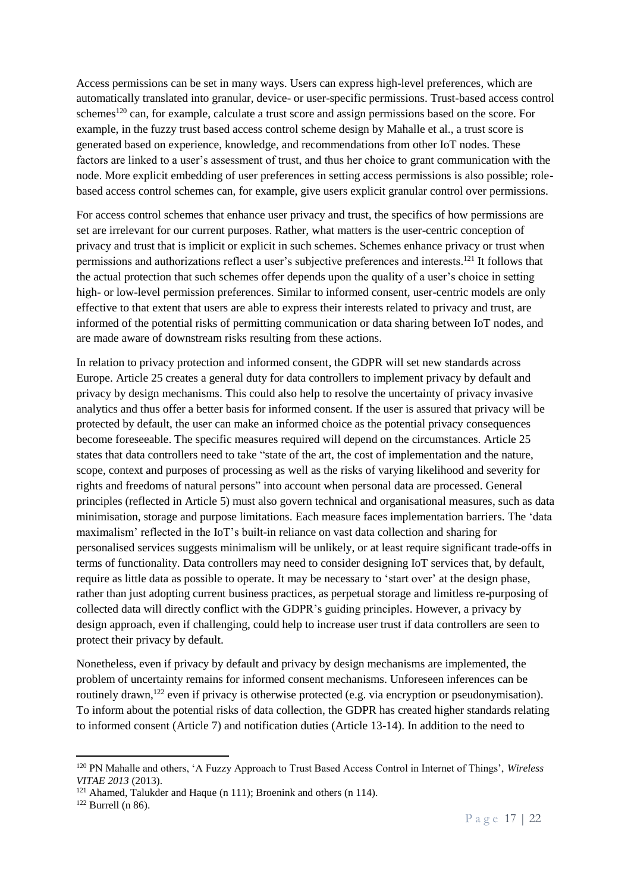Access permissions can be set in many ways. Users can express high-level preferences, which are automatically translated into granular, device- or user-specific permissions. Trust-based access control schemes<sup>120</sup> can, for example, calculate a trust score and assign permissions based on the score. For example, in the fuzzy trust based access control scheme design by Mahalle et al., a trust score is generated based on experience, knowledge, and recommendations from other IoT nodes. These factors are linked to a user's assessment of trust, and thus her choice to grant communication with the node. More explicit embedding of user preferences in setting access permissions is also possible; rolebased access control schemes can, for example, give users explicit granular control over permissions.

For access control schemes that enhance user privacy and trust, the specifics of how permissions are set are irrelevant for our current purposes. Rather, what matters is the user-centric conception of privacy and trust that is implicit or explicit in such schemes. Schemes enhance privacy or trust when permissions and authorizations reflect a user's subjective preferences and interests.<sup>121</sup> It follows that the actual protection that such schemes offer depends upon the quality of a user's choice in setting high- or low-level permission preferences. Similar to informed consent, user-centric models are only effective to that extent that users are able to express their interests related to privacy and trust, are informed of the potential risks of permitting communication or data sharing between IoT nodes, and are made aware of downstream risks resulting from these actions.

In relation to privacy protection and informed consent, the GDPR will set new standards across Europe. Article 25 creates a general duty for data controllers to implement privacy by default and privacy by design mechanisms. This could also help to resolve the uncertainty of privacy invasive analytics and thus offer a better basis for informed consent. If the user is assured that privacy will be protected by default, the user can make an informed choice as the potential privacy consequences become foreseeable. The specific measures required will depend on the circumstances. Article 25 states that data controllers need to take "state of the art, the cost of implementation and the nature, scope, context and purposes of processing as well as the risks of varying likelihood and severity for rights and freedoms of natural persons" into account when personal data are processed. General principles (reflected in Article 5) must also govern technical and organisational measures, such as data minimisation, storage and purpose limitations. Each measure faces implementation barriers. The 'data maximalism' reflected in the IoT's built-in reliance on vast data collection and sharing for personalised services suggests minimalism will be unlikely, or at least require significant trade-offs in terms of functionality. Data controllers may need to consider designing IoT services that, by default, require as little data as possible to operate. It may be necessary to 'start over' at the design phase, rather than just adopting current business practices, as perpetual storage and limitless re-purposing of collected data will directly conflict with the GDPR's guiding principles. However, a privacy by design approach, even if challenging, could help to increase user trust if data controllers are seen to protect their privacy by default.

Nonetheless, even if privacy by default and privacy by design mechanisms are implemented, the problem of uncertainty remains for informed consent mechanisms. Unforeseen inferences can be routinely drawn,<sup>122</sup> even if privacy is otherwise protected (e.g. via encryption or pseudonymisation). To inform about the potential risks of data collection, the GDPR has created higher standards relating to informed consent (Article 7) and notification duties (Article 13-14). In addition to the need to

<sup>120</sup> PN Mahalle and others, 'A Fuzzy Approach to Trust Based Access Control in Internet of Things', *Wireless VITAE 2013* (2013).

<sup>&</sup>lt;sup>121</sup> Ahamed, Talukder and Haque (n 111); Broenink and others (n 114).

 $122$  Burrell (n 86).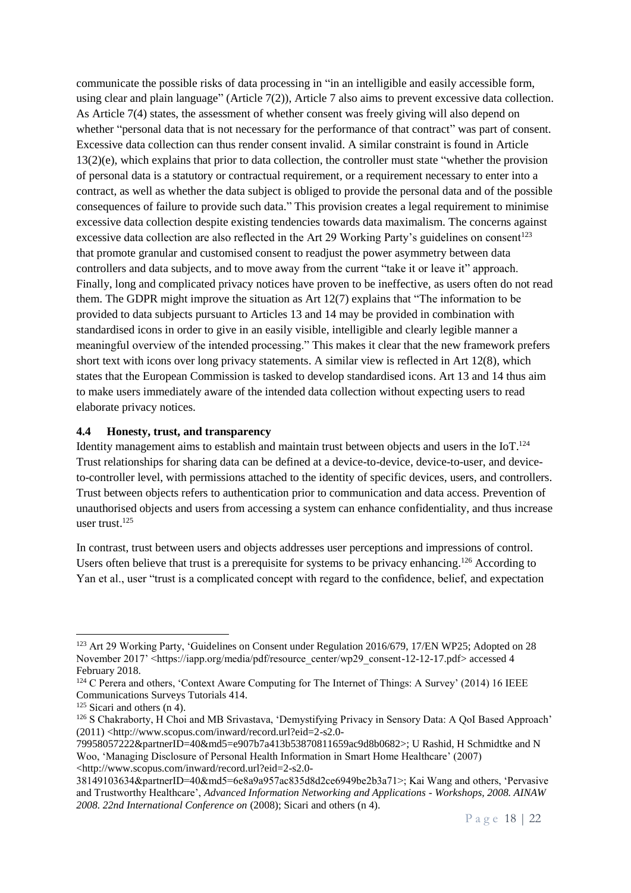communicate the possible risks of data processing in "in an intelligible and easily accessible form, using clear and plain language" (Article 7(2)), Article 7 also aims to prevent excessive data collection. As Article 7(4) states, the assessment of whether consent was freely giving will also depend on whether "personal data that is not necessary for the performance of that contract" was part of consent. Excessive data collection can thus render consent invalid. A similar constraint is found in Article 13(2)(e), which explains that prior to data collection, the controller must state "whether the provision of personal data is a statutory or contractual requirement, or a requirement necessary to enter into a contract, as well as whether the data subject is obliged to provide the personal data and of the possible consequences of failure to provide such data." This provision creates a legal requirement to minimise excessive data collection despite existing tendencies towards data maximalism. The concerns against excessive data collection are also reflected in the Art 29 Working Party's guidelines on consent<sup>123</sup> that promote granular and customised consent to readjust the power asymmetry between data controllers and data subjects, and to move away from the current "take it or leave it" approach. Finally, long and complicated privacy notices have proven to be ineffective, as users often do not read them. The GDPR might improve the situation as Art 12(7) explains that "The information to be provided to data subjects pursuant to Articles 13 and 14 may be provided in combination with standardised icons in order to give in an easily visible, intelligible and clearly legible manner a meaningful overview of the intended processing." This makes it clear that the new framework prefers short text with icons over long privacy statements. A similar view is reflected in Art 12(8), which states that the European Commission is tasked to develop standardised icons. Art 13 and 14 thus aim to make users immediately aware of the intended data collection without expecting users to read elaborate privacy notices.

#### **4.4 Honesty, trust, and transparency**

Identity management aims to establish and maintain trust between objects and users in the IoT.<sup>124</sup> Trust relationships for sharing data can be defined at a device-to-device, device-to-user, and deviceto-controller level, with permissions attached to the identity of specific devices, users, and controllers. Trust between objects refers to authentication prior to communication and data access. Prevention of unauthorised objects and users from accessing a system can enhance confidentiality, and thus increase user trust. 125

In contrast, trust between users and objects addresses user perceptions and impressions of control. Users often believe that trust is a prerequisite for systems to be privacy enhancing.<sup>126</sup> According to Yan et al., user "trust is a complicated concept with regard to the confidence, belief, and expectation

<sup>&</sup>lt;sup>123</sup> Art 29 Working Party, 'Guidelines on Consent under Regulation 2016/679, 17/EN WP25; Adopted on 28 November 2017' <https://iapp.org/media/pdf/resource\_center/wp29\_consent-12-12-17.pdf> accessed 4 February 2018.

<sup>&</sup>lt;sup>124</sup> C Perera and others, 'Context Aware Computing for The Internet of Things: A Survey' (2014) 16 IEEE Communications Surveys Tutorials 414.

 $125$  Sicari and others (n 4).

<sup>&</sup>lt;sup>126</sup> S Chakraborty, H Choi and MB Srivastava, 'Demystifying Privacy in Sensory Data: A QoI Based Approach' (2011) <http://www.scopus.com/inward/record.url?eid=2-s2.0-

<sup>79958057222&</sup>amp;partnerID=40&md5=e907b7a413b53870811659ac9d8b0682>; U Rashid, H Schmidtke and N Woo, 'Managing Disclosure of Personal Health Information in Smart Home Healthcare' (2007) <http://www.scopus.com/inward/record.url?eid=2-s2.0-

<sup>38149103634&</sup>amp;partnerID=40&md5=6e8a9a957ac835d8d2ce6949be2b3a71>; Kai Wang and others, 'Pervasive and Trustworthy Healthcare', *Advanced Information Networking and Applications - Workshops, 2008. AINAW 2008. 22nd International Conference on* (2008); Sicari and others (n 4).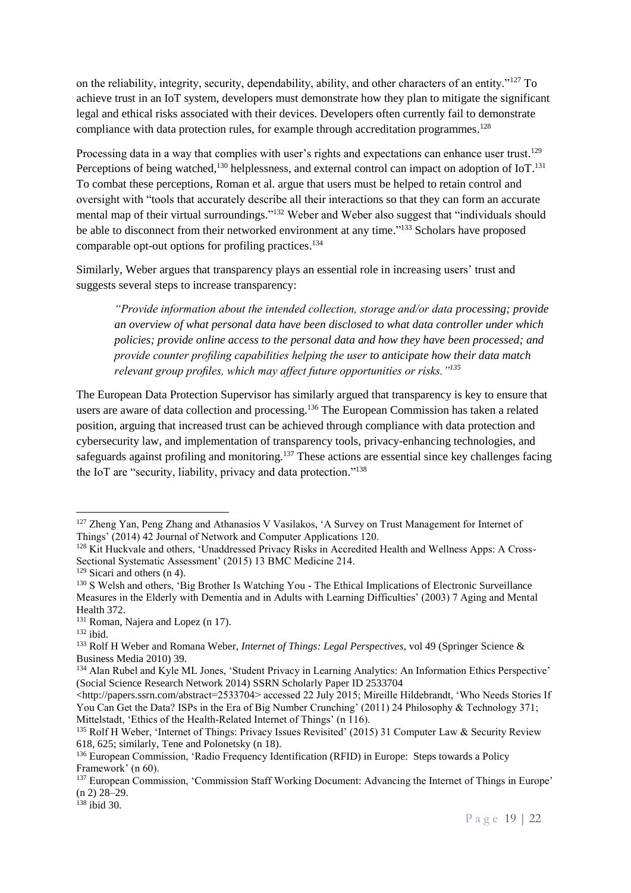on the reliability, integrity, security, dependability, ability, and other characters of an entity."<sup>127</sup> To achieve trust in an IoT system, developers must demonstrate how they plan to mitigate the significant legal and ethical risks associated with their devices. Developers often currently fail to demonstrate compliance with data protection rules, for example through accreditation programmes.<sup>128</sup>

Processing data in a way that complies with user's rights and expectations can enhance user trust.<sup>129</sup> Perceptions of being watched,<sup>130</sup> helplessness, and external control can impact on adoption of IoT.<sup>131</sup> To combat these perceptions, Roman et al. argue that users must be helped to retain control and oversight with "tools that accurately describe all their interactions so that they can form an accurate mental map of their virtual surroundings."<sup>132</sup> Weber and Weber also suggest that "individuals should be able to disconnect from their networked environment at any time."<sup>133</sup> Scholars have proposed comparable opt-out options for profiling practices. 134

Similarly, Weber argues that transparency plays an essential role in increasing users' trust and suggests several steps to increase transparency:

*"Provide information about the intended collection, storage and/or data processing; provide an overview of what personal data have been disclosed to what data controller under which policies; provide online access to the personal data and how they have been processed; and provide counter profiling capabilities helping the user to anticipate how their data match relevant group profiles, which may affect future opportunities or risks." 135*

The European Data Protection Supervisor has similarly argued that transparency is key to ensure that users are aware of data collection and processing.<sup>136</sup> The European Commission has taken a related position, arguing that increased trust can be achieved through compliance with data protection and cybersecurity law, and implementation of transparency tools, privacy-enhancing technologies, and safeguards against profiling and monitoring.<sup>137</sup> These actions are essential since key challenges facing the IoT are "security, liability, privacy and data protection." 138

<sup>&</sup>lt;sup>127</sup> Zheng Yan, Peng Zhang and Athanasios V Vasilakos, 'A Survey on Trust Management for Internet of Things' (2014) 42 Journal of Network and Computer Applications 120.

<sup>&</sup>lt;sup>128</sup> Kit Huckvale and others, 'Unaddressed Privacy Risks in Accredited Health and Wellness Apps: A Cross-Sectional Systematic Assessment' (2015) 13 BMC Medicine 214.

 $129$  Sicari and others (n 4).

<sup>130</sup> S Welsh and others, 'Big Brother Is Watching You - The Ethical Implications of Electronic Surveillance Measures in the Elderly with Dementia and in Adults with Learning Difficulties' (2003) 7 Aging and Mental Health 372.

<sup>&</sup>lt;sup>131</sup> Roman, Najera and Lopez (n 17).

 $132$  ibid.

<sup>133</sup> Rolf H Weber and Romana Weber, *Internet of Things: Legal Perspectives*, vol 49 (Springer Science & Business Media 2010) 39.

<sup>134</sup> Alan Rubel and Kyle ML Jones, 'Student Privacy in Learning Analytics: An Information Ethics Perspective' (Social Science Research Network 2014) SSRN Scholarly Paper ID 2533704

<sup>&</sup>lt;http://papers.ssrn.com/abstract=2533704> accessed 22 July 2015; Mireille Hildebrandt, 'Who Needs Stories If You Can Get the Data? ISPs in the Era of Big Number Crunching' (2011) 24 Philosophy & Technology 371; Mittelstadt, 'Ethics of the Health-Related Internet of Things' (n 116).

<sup>&</sup>lt;sup>135</sup> Rolf H Weber, 'Internet of Things: Privacy Issues Revisited' (2015) 31 Computer Law & Security Review 618, 625; similarly, Tene and Polonetsky (n 18).

<sup>136</sup> European Commission, 'Radio Frequency Identification (RFID) in Europe: Steps towards a Policy Framework' (n 60).

<sup>137</sup> European Commission, 'Commission Staff Working Document: Advancing the Internet of Things in Europe'  $(n 2)$  28–29.

 $138$  ibid 30.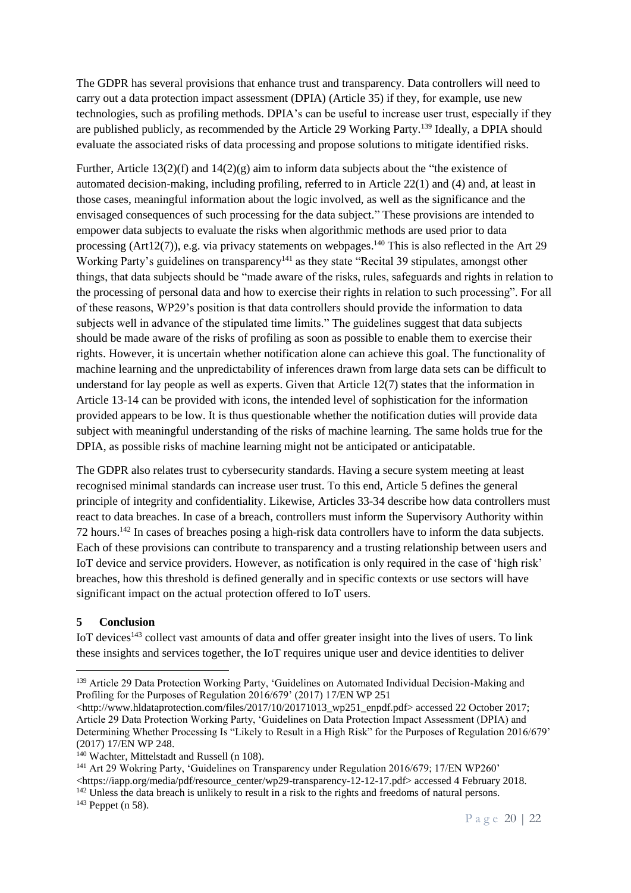The GDPR has several provisions that enhance trust and transparency. Data controllers will need to carry out a data protection impact assessment (DPIA) (Article 35) if they, for example, use new technologies, such as profiling methods. DPIA's can be useful to increase user trust, especially if they are published publicly, as recommended by the Article 29 Working Party.<sup>139</sup> Ideally, a DPIA should evaluate the associated risks of data processing and propose solutions to mitigate identified risks.

Further, Article 13(2)(f) and 14(2)(g) aim to inform data subjects about the "the existence of automated decision-making, including profiling, referred to in Article 22(1) and (4) and, at least in those cases, meaningful information about the logic involved, as well as the significance and the envisaged consequences of such processing for the data subject." These provisions are intended to empower data subjects to evaluate the risks when algorithmic methods are used prior to data processing (Art12(7)), e.g. via privacy statements on webpages.<sup>140</sup> This is also reflected in the Art 29 Working Party's guidelines on transparency<sup>141</sup> as they state "Recital 39 stipulates, amongst other things, that data subjects should be "made aware of the risks, rules, safeguards and rights in relation to the processing of personal data and how to exercise their rights in relation to such processing". For all of these reasons, WP29's position is that data controllers should provide the information to data subjects well in advance of the stipulated time limits." The guidelines suggest that data subjects should be made aware of the risks of profiling as soon as possible to enable them to exercise their rights. However, it is uncertain whether notification alone can achieve this goal. The functionality of machine learning and the unpredictability of inferences drawn from large data sets can be difficult to understand for lay people as well as experts. Given that Article 12(7) states that the information in Article 13-14 can be provided with icons, the intended level of sophistication for the information provided appears to be low. It is thus questionable whether the notification duties will provide data subject with meaningful understanding of the risks of machine learning. The same holds true for the DPIA, as possible risks of machine learning might not be anticipated or anticipatable.

The GDPR also relates trust to cybersecurity standards. Having a secure system meeting at least recognised minimal standards can increase user trust. To this end, Article 5 defines the general principle of integrity and confidentiality. Likewise, Articles 33-34 describe how data controllers must react to data breaches. In case of a breach, controllers must inform the Supervisory Authority within 72 hours. <sup>142</sup> In cases of breaches posing a high-risk data controllers have to inform the data subjects. Each of these provisions can contribute to transparency and a trusting relationship between users and IoT device and service providers. However, as notification is only required in the case of 'high risk' breaches, how this threshold is defined generally and in specific contexts or use sectors will have significant impact on the actual protection offered to IoT users.

## **5 Conclusion**

<u>.</u>

IoT devices<sup>143</sup> collect vast amounts of data and offer greater insight into the lives of users. To link these insights and services together, the IoT requires unique user and device identities to deliver

<sup>141</sup> Art 29 Wokring Party, 'Guidelines on Transparency under Regulation 2016/679; 17/EN WP260' <https://iapp.org/media/pdf/resource\_center/wp29-transparency-12-12-17.pdf> accessed 4 February 2018. <sup>142</sup> Unless the data breach is unlikely to result in a risk to the rights and freedoms of natural persons.

<sup>139</sup> Article 29 Data Protection Working Party, 'Guidelines on Automated Individual Decision-Making and Profiling for the Purposes of Regulation 2016/679' (2017) 17/EN WP 251

<sup>&</sup>lt;http://www.hldataprotection.com/files/2017/10/20171013\_wp251\_enpdf.pdf> accessed 22 October 2017; Article 29 Data Protection Working Party, 'Guidelines on Data Protection Impact Assessment (DPIA) and Determining Whether Processing Is "Likely to Result in a High Risk" for the Purposes of Regulation 2016/679' (2017) 17/EN WP 248.

<sup>140</sup> Wachter, Mittelstadt and Russell (n 108).

 $143$  Peppet (n 58).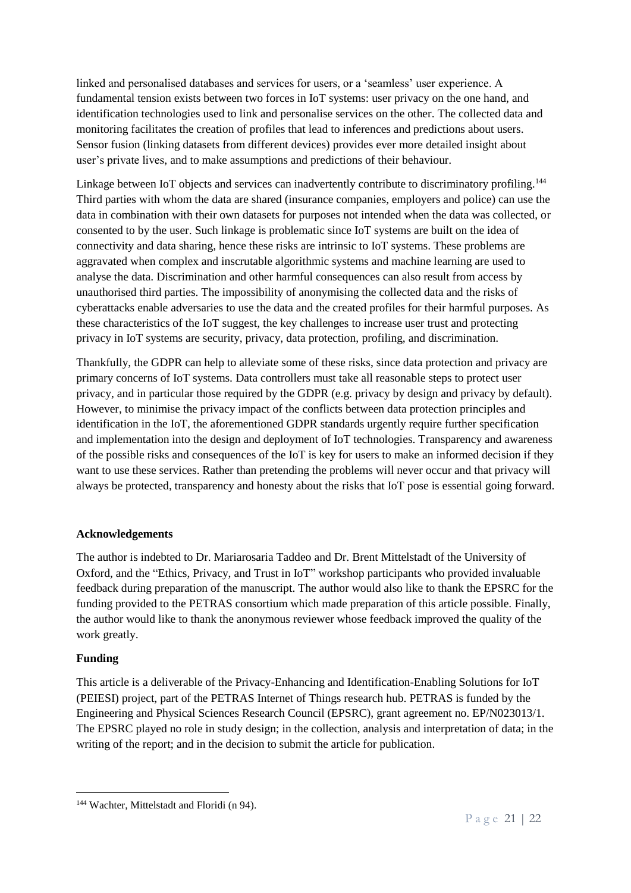linked and personalised databases and services for users, or a 'seamless' user experience. A fundamental tension exists between two forces in IoT systems: user privacy on the one hand, and identification technologies used to link and personalise services on the other. The collected data and monitoring facilitates the creation of profiles that lead to inferences and predictions about users. Sensor fusion (linking datasets from different devices) provides ever more detailed insight about user's private lives, and to make assumptions and predictions of their behaviour.

Linkage between IoT objects and services can inadvertently contribute to discriminatory profiling.<sup>144</sup> Third parties with whom the data are shared (insurance companies, employers and police) can use the data in combination with their own datasets for purposes not intended when the data was collected, or consented to by the user. Such linkage is problematic since IoT systems are built on the idea of connectivity and data sharing, hence these risks are intrinsic to IoT systems. These problems are aggravated when complex and inscrutable algorithmic systems and machine learning are used to analyse the data. Discrimination and other harmful consequences can also result from access by unauthorised third parties. The impossibility of anonymising the collected data and the risks of cyberattacks enable adversaries to use the data and the created profiles for their harmful purposes. As these characteristics of the IoT suggest, the key challenges to increase user trust and protecting privacy in IoT systems are security, privacy, data protection, profiling, and discrimination.

Thankfully, the GDPR can help to alleviate some of these risks, since data protection and privacy are primary concerns of IoT systems. Data controllers must take all reasonable steps to protect user privacy, and in particular those required by the GDPR (e.g. privacy by design and privacy by default). However, to minimise the privacy impact of the conflicts between data protection principles and identification in the IoT, the aforementioned GDPR standards urgently require further specification and implementation into the design and deployment of IoT technologies. Transparency and awareness of the possible risks and consequences of the IoT is key for users to make an informed decision if they want to use these services. Rather than pretending the problems will never occur and that privacy will always be protected, transparency and honesty about the risks that IoT pose is essential going forward.

## **Acknowledgements**

The author is indebted to Dr. Mariarosaria Taddeo and Dr. Brent Mittelstadt of the University of Oxford, and the "Ethics, Privacy, and Trust in IoT" workshop participants who provided invaluable feedback during preparation of the manuscript. The author would also like to thank the EPSRC for the funding provided to the PETRAS consortium which made preparation of this article possible. Finally, the author would like to thank the anonymous reviewer whose feedback improved the quality of the work greatly.

### **Funding**

<u>.</u>

This article is a deliverable of the Privacy-Enhancing and Identification-Enabling Solutions for IoT (PEIESI) project, part of the PETRAS Internet of Things research hub. PETRAS is funded by the Engineering and Physical Sciences Research Council (EPSRC), grant agreement no. EP/N023013/1. The EPSRC played no role in study design; in the collection, analysis and interpretation of data; in the writing of the report; and in the decision to submit the article for publication.

<sup>&</sup>lt;sup>144</sup> Wachter, Mittelstadt and Floridi (n 94).